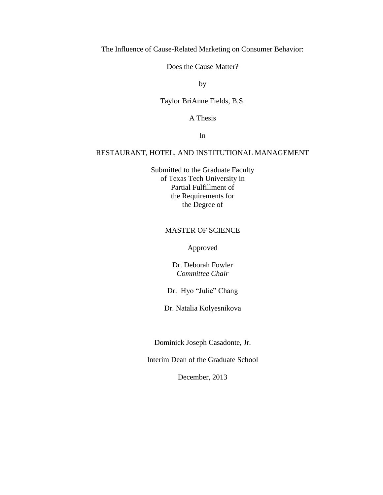The Influence of Cause-Related Marketing on Consumer Behavior:

Does the Cause Matter?

by

Taylor BriAnne Fields, B.S.

A Thesis

In

# RESTAURANT, HOTEL, AND INSTITUTIONAL MANAGEMENT

Submitted to the Graduate Faculty of Texas Tech University in Partial Fulfillment of the Requirements for the Degree of

# MASTER OF SCIENCE

Approved

Dr. Deborah Fowler *Committee Chair*

Dr. Hyo "Julie" Chang

Dr. Natalia Kolyesnikova

Dominick Joseph Casadonte, Jr.

Interim Dean of the Graduate School

December, 2013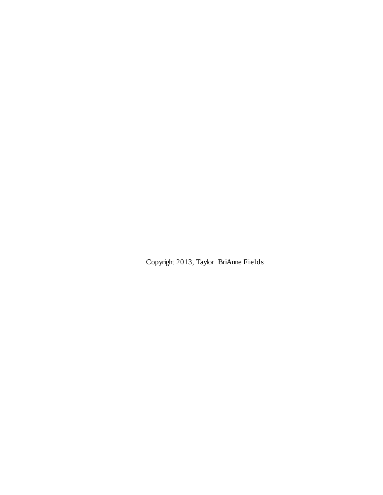Copyright 2013, Taylor BriAnne Fields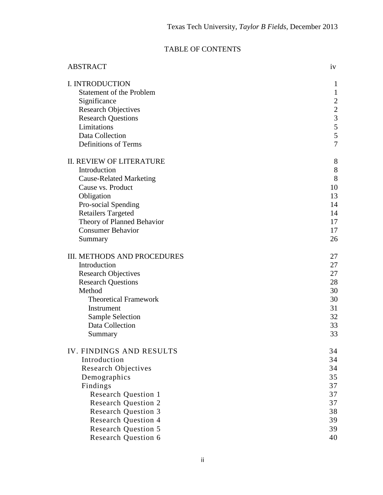# TABLE OF CONTENTS

| <b>ABSTRACT</b>                                          | iv                  |
|----------------------------------------------------------|---------------------|
| I. INTRODUCTION                                          | $\mathbf{1}$        |
| <b>Statement of the Problem</b>                          | $\mathbf{1}$        |
| Significance                                             | $\mathbf{2}$        |
| <b>Research Objectives</b>                               | $\frac{2}{3}$       |
| <b>Research Questions</b>                                |                     |
| Limitations                                              | 5                   |
| Data Collection                                          | 5<br>$\overline{7}$ |
| Definitions of Terms                                     |                     |
| <b>II. REVIEW OF LITERATURE</b>                          | 8                   |
| Introduction                                             | $8\,$               |
| <b>Cause-Related Marketing</b>                           | 8                   |
| Cause vs. Product                                        | 10                  |
| Obligation                                               | 13                  |
| Pro-social Spending<br><b>Retailers Targeted</b>         | 14<br>14            |
| Theory of Planned Behavior                               | 17                  |
| <b>Consumer Behavior</b>                                 | 17                  |
| Summary                                                  | 26                  |
|                                                          |                     |
| <b>III. METHODS AND PROCEDURES</b>                       | 27                  |
| Introduction                                             | 27                  |
| <b>Research Objectives</b>                               | 27                  |
| <b>Research Questions</b>                                | 28                  |
| Method                                                   | 30                  |
| <b>Theoretical Framework</b>                             | 30                  |
| Instrument<br><b>Sample Selection</b>                    | 31<br>32            |
| Data Collection                                          | 33                  |
| Summary                                                  | 33                  |
|                                                          |                     |
| <b>IV. FINDINGS AND RESULTS</b>                          | 34                  |
| Introduction                                             | 34                  |
| <b>Research Objectives</b>                               | 34                  |
| Demographics                                             | 35                  |
| Findings                                                 | 37                  |
| <b>Research Question 1</b>                               | 37<br>37            |
| <b>Research Question 2</b><br><b>Research Question 3</b> | 38                  |
| <b>Research Question 4</b>                               | 39                  |
| <b>Research Question 5</b>                               | 39                  |
| <b>Research Question 6</b>                               | 40                  |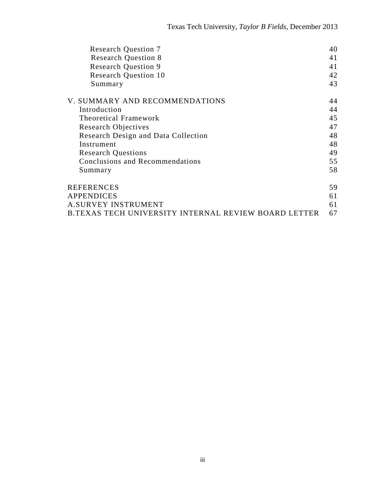| <b>Research Question 7</b>                                  | 40 |
|-------------------------------------------------------------|----|
| <b>Research Question 8</b>                                  | 41 |
| <b>Research Question 9</b>                                  | 41 |
| <b>Research Question 10</b>                                 | 42 |
| Summary                                                     | 43 |
| V. SUMMARY AND RECOMMENDATIONS                              | 44 |
| Introduction                                                | 44 |
| <b>Theoretical Framework</b>                                | 45 |
| <b>Research Objectives</b>                                  | 47 |
| Research Design and Data Collection                         | 48 |
| Instrument                                                  | 48 |
| <b>Research Questions</b>                                   | 49 |
| Conclusions and Recommendations                             | 55 |
| Summary                                                     | 58 |
| <b>REFERENCES</b>                                           | 59 |
| APPENDICES                                                  | 61 |
| <b>A.SURVEY INSTRUMENT</b>                                  | 61 |
| <b>B.TEXAS TECH UNIVERSITY INTERNAL REVIEW BOARD LETTER</b> | 67 |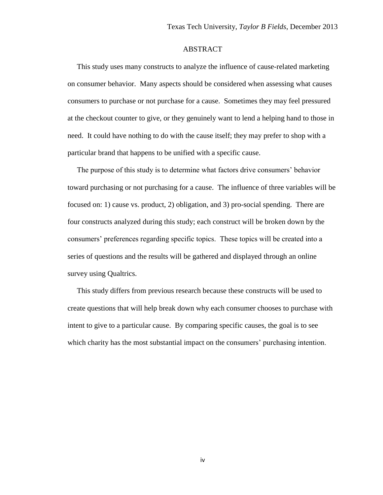# ABSTRACT

 This study uses many constructs to analyze the influence of cause-related marketing on consumer behavior. Many aspects should be considered when assessing what causes consumers to purchase or not purchase for a cause. Sometimes they may feel pressured at the checkout counter to give, or they genuinely want to lend a helping hand to those in need. It could have nothing to do with the cause itself; they may prefer to shop with a particular brand that happens to be unified with a specific cause.

 The purpose of this study is to determine what factors drive consumers' behavior toward purchasing or not purchasing for a cause. The influence of three variables will be focused on: 1) cause vs. product, 2) obligation, and 3) pro-social spending. There are four constructs analyzed during this study; each construct will be broken down by the consumers' preferences regarding specific topics. These topics will be created into a series of questions and the results will be gathered and displayed through an online survey using Qualtrics.

 This study differs from previous research because these constructs will be used to create questions that will help break down why each consumer chooses to purchase with intent to give to a particular cause. By comparing specific causes, the goal is to see which charity has the most substantial impact on the consumers' purchasing intention.

iv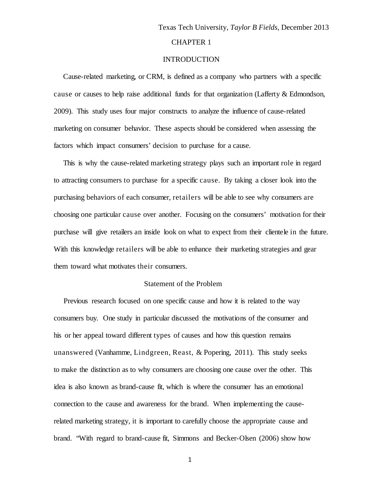### INTRODUCTION

 Cause-related marketing, or CRM, is defined as a company who partners with a specific cause or causes to help raise additional funds for that organization (Lafferty & Edmondson, 2009). This study uses four major constructs to analyze the influence of cause-related marketing on consumer behavior. These aspects should be considered when assessing the factors which impact consumers' decision to purchase for a cause.

 This is why the cause-related marketing strategy plays such an important role in regard to attracting consumers to purchase for a specific cause. By taking a closer look into the purchasing behaviors of each consumer, retailers will be able to see why consumers are choosing one particular cause over another. Focusing on the consumers' motivation for their purchase will give retailers an inside look on what to expect from their clientele in the future. With this knowledge retailers will be able to enhance their marketing strategies and gear them toward what motivates their consumers.

### Statement of the Problem

 Previous research focused on one specific cause and how it is related to the way consumers buy. One study in particular discussed the motivations of the consumer and his or her appeal toward different types of causes and how this question remains unanswered (Vanhamme, Lindgreen, Reast, & Popering, 2011). This study seeks to make the distinction as to why consumers are choosing one cause over the other. This idea is also known as brand-cause fit, which is where the consumer has an emotional connection to the cause and awareness for the brand. When implementing the causerelated marketing strategy, it is important to carefully choose the appropriate cause and brand. "With regard to brand-cause fit, Simmons and Becker-Olsen (2006) show how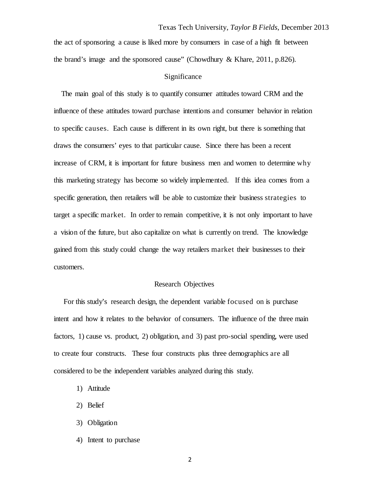the act of sponsoring a cause is liked more by consumers in case of a high fit between the brand's image and the sponsored cause" (Chowdhury & Khare, 2011, p.826).

## Significance

 The main goal of this study is to quantify consumer attitudes toward CRM and the influence of these attitudes toward purchase intentions and consumer behavior in relation to specific causes. Each cause is different in its own right, but there is something that draws the consumers' eyes to that particular cause. Since there has been a recent increase of CRM, it is important for future business men and women to determine why this marketing strategy has become so widely implemented. If this idea comes from a specific generation, then retailers will be able to customize their business strategies to target a specific market. In order to remain competitive, it is not only important to have a vision of the future, but also capitalize on what is currently on trend. The knowledge gained from this study could change the way retailers market their businesses to their customers.

#### Research Objectives

 For this study's research design, the dependent variable focused on is purchase intent and how it relates to the behavior of consumers. The influence of the three main factors, 1) cause vs. product, 2) obligation, and 3) past pro-social spending, were used to create four constructs. These four constructs plus three demographics are all considered to be the independent variables analyzed during this study.

- 1) Attitude
- 2) Belief
- 3) Obligation
- 4) Intent to purchase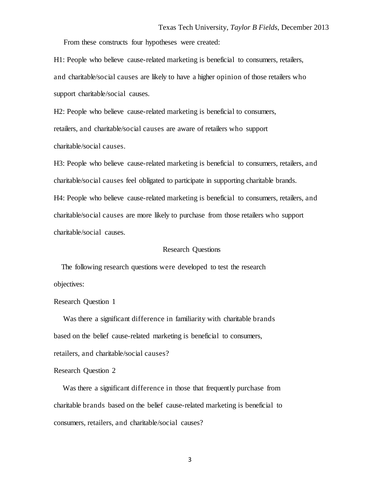From these constructs four hypotheses were created:

H1: People who believe cause-related marketing is beneficial to consumers, retailers, and charitable/social causes are likely to have a higher opinion of those retailers who support charitable/social causes.

H2: People who believe cause-related marketing is beneficial to consumers, retailers, and charitable/social causes are aware of retailers who support charitable/social causes.

H3: People who believe cause-related marketing is beneficial to consumers, retailers, and charitable/social causes feel obligated to participate in supporting charitable brands. H4: People who believe cause-related marketing is beneficial to consumers, retailers, and charitable/social causes are more likely to purchase from those retailers who support charitable/social causes.

#### Research Questions

 The following research questions were developed to test the research objectives:

Research Question 1

 Was there a significant difference in familiarity with charitable brands based on the belief cause-related marketing is beneficial to consumers, retailers, and charitable/social causes?

### Research Question 2

 Was there a significant difference in those that frequently purchase from charitable brands based on the belief cause-related marketing is beneficial to consumers, retailers, and charitable/social causes?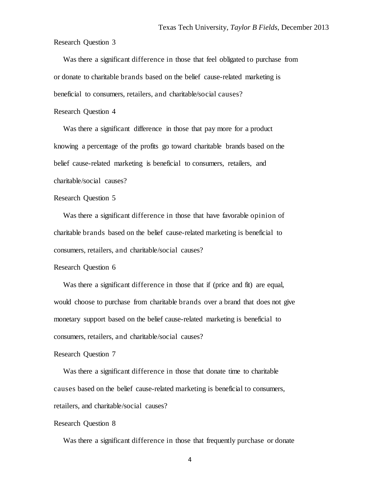Research Question 3

 Was there a significant difference in those that feel obligated to purchase from or donate to charitable brands based on the belief cause-related marketing is beneficial to consumers, retailers, and charitable/social causes?

### Research Question 4

 Was there a significant difference in those that pay more for a product knowing a percentage of the profits go toward charitable brands based on the belief cause-related marketing is beneficial to consumers, retailers, and charitable/social causes?

# Research Question 5

 Was there a significant difference in those that have favorable opinion of charitable brands based on the belief cause-related marketing is beneficial to consumers, retailers, and charitable/social causes?

### Research Question 6

 Was there a significant difference in those that if (price and fit) are equal, would choose to purchase from charitable brands over a brand that does not give monetary support based on the belief cause-related marketing is beneficial to consumers, retailers, and charitable/social causes?

# Research Question 7

 Was there a significant difference in those that donate time to charitable causes based on the belief cause-related marketing is beneficial to consumers, retailers, and charitable/social causes?

#### Research Question 8

Was there a significant difference in those that frequently purchase or donate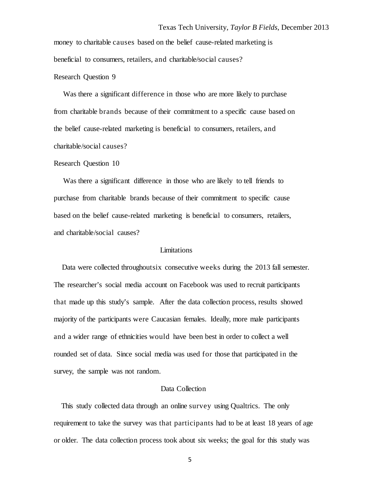money to charitable causes based on the belief cause-related marketing is beneficial to consumers, retailers, and charitable/social causes?

### Research Question 9

 Was there a significant difference in those who are more likely to purchase from charitable brands because of their commitment to a specific cause based on the belief cause-related marketing is beneficial to consumers, retailers, and charitable/social causes?

#### Research Question 10

 Was there a significant difference in those who are likely to tell friends to purchase from charitable brands because of their commitment to specific cause based on the belief cause-related marketing is beneficial to consumers, retailers, and charitable/social causes?

#### Limitations

 Data were collected throughoutsix consecutive weeks during the 2013 fall semester. The researcher's social media account on Facebook was used to recruit participants that made up this study's sample. After the data collection process, results showed majority of the participants were Caucasian females. Ideally, more male participants and a wider range of ethnicities would have been best in order to collect a well rounded set of data. Since social media was used for those that participated in the survey, the sample was not random.

# Data Collection

 This study collected data through an online survey using Qualtrics. The only requirement to take the survey was that participants had to be at least 18 years of age or older. The data collection process took about six weeks; the goal for this study was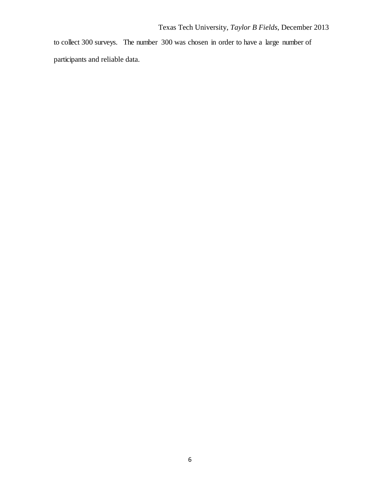to collect 300 surveys. The number 300 was chosen in order to have a large number of participants and reliable data.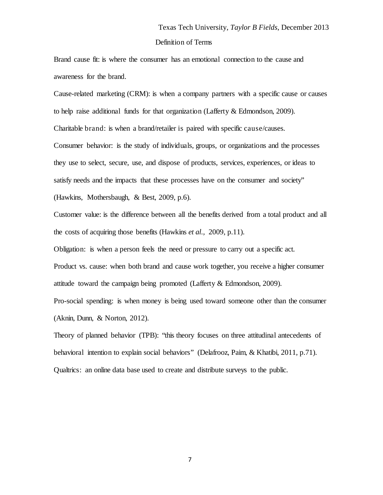Brand cause fit: is where the consumer has an emotional connection to the cause and awareness for the brand.

Cause-related marketing (CRM): is when a company partners with a specific cause or causes to help raise additional funds for that organization (Lafferty & Edmondson, 2009). Charitable brand: is when a brand/retailer is paired with specific cause/causes. Consumer behavior: is the study of individuals, groups, or organizations and the processes they use to select, secure, use, and dispose of products, services, experiences, or ideas to satisfy needs and the impacts that these processes have on the consumer and society"

(Hawkins, Mothersbaugh, & Best, 2009, p.6).

Customer value: is the difference between all the benefits derived from a total product and all the costs of acquiring those benefits (Hawkins *et al.,* 2009, p.11).

Obligation: is when a person feels the need or pressure to carry out a specific act.

Product vs. cause: when both brand and cause work together, you receive a higher consumer attitude toward the campaign being promoted (Lafferty & Edmondson, 2009).

Pro-social spending: is when money is being used toward someone other than the consumer (Aknin, Dunn, & Norton, 2012).

Theory of planned behavior (TPB): "this theory focuses on three attitudinal antecedents of behavioral intention to explain social behaviors" (Delafrooz, Paim, & Khatibi, 2011, p.71). Qualtrics: an online data base used to create and distribute surveys to the public.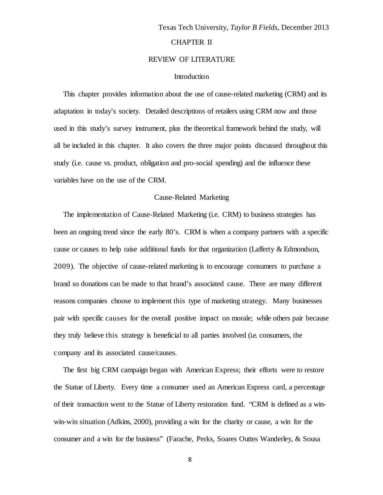### REVIEW OF LITERATURE

### Introduction

 This chapter provides information about the use of cause-related marketing (CRM) and its adaptation in today's society. Detailed descriptions of retailers using CRM now and those used in this study's survey instrument, plus the theoretical framework behind the study, will all be included in this chapter. It also covers the three major points discussed throughout this study (i.e. cause vs. product, obligation and pro-social spending) and the influence these variables have on the use of the CRM.

### Cause-Related Marketing

 The implementation of Cause-Related Marketing (i.e. CRM) to business strategies has been an ongoing trend since the early 80's. CRM is when a company partners with a specific cause or causes to help raise additional funds for that organization (Lafferty & Edmondson, 2009). The objective of cause-related marketing is to encourage consumers to purchase a brand so donations can be made to that brand's associated cause. There are many different reasons companies choose to implement this type of marketing strategy. Many businesses pair with specific causes for the overall positive impact on morale; while others pair because they truly believe this strategy is beneficial to all parties involved (i.e. consumers, the company and its associated cause/causes.

 The first big CRM campaign began with American Express; their efforts were to restore the Statue of Liberty. Every time a consumer used an American Express card, a percentage of their transaction went to the Statue of Liberty restoration fund. "CRM is defined as a winwin-win situation (Adkins, 2000), providing a win for the charity or cause, a win for the consumer and a win for the business" (Farache, Perks, Soares Outtes Wanderley, & Sousa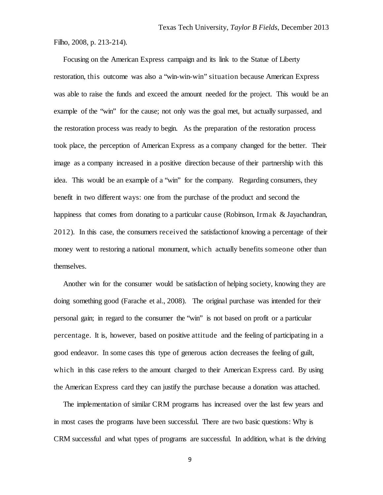Filho, 2008, p. 213-214).

 Focusing on the American Express campaign and its link to the Statue of Liberty restoration, this outcome was also a "win-win-win" situation because American Express was able to raise the funds and exceed the amount needed for the project. This would be an example of the "win" for the cause; not only was the goal met, but actually surpassed, and the restoration process was ready to begin. As the preparation of the restoration process took place, the perception of American Express as a company changed for the better. Their image as a company increased in a positive direction because of their partnership with this idea. This would be an example of a "win" for the company. Regarding consumers, they benefit in two different ways: one from the purchase of the product and second the happiness that comes from donating to a particular cause (Robinson, Irmak & Jayachandran, 2012). In this case, the consumers received the satisfactionof knowing a percentage of their money went to restoring a national monument, which actually benefits someone other than themselves.

 Another win for the consumer would be satisfaction of helping society, knowing they are doing something good (Farache et al., 2008). The original purchase was intended for their personal gain; in regard to the consumer the "win" is not based on profit or a particular percentage. It is, however, based on positive attitude and the feeling of participating in a good endeavor. In some cases this type of generous action decreases the feeling of guilt, which in this case refers to the amount charged to their American Express card. By using the American Express card they can justify the purchase because a donation was attached.

 The implementation of similar CRM programs has increased over the last few years and in most cases the programs have been successful. There are two basic questions: Why is CRM successful and what types of programs are successful. In addition, what is the driving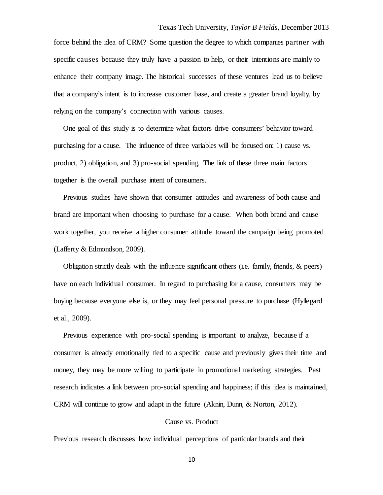force behind the idea of CRM? Some question the degree to which companies partner with specific causes because they truly have a passion to help, or their intentions are mainly to enhance their company image. The historical successes of these ventures lead us to believe that a company's intent is to increase customer base, and create a greater brand loyalty, by relying on the company's connection with various causes.

 One goal of this study is to determine what factors drive consumers' behavior toward purchasing for a cause. The influence of three variables will be focused on: 1) cause vs. product, 2) obligation, and 3) pro-social spending. The link of these three main factors together is the overall purchase intent of consumers.

 Previous studies have shown that consumer attitudes and awareness of both cause and brand are important when choosing to purchase for a cause. When both brand and cause work together, you receive a higher consumer attitude toward the campaign being promoted (Lafferty & Edmondson, 2009).

Obligation strictly deals with the influence significant others (i.e. family, friends,  $\&$  peers) have on each individual consumer. In regard to purchasing for a cause, consumers may be buying because everyone else is, or they may feel personal pressure to purchase (Hyllegard et al., 2009).

 Previous experience with pro-social spending is important to analyze, because if a consumer is already emotionally tied to a specific cause and previously gives their time and money, they may be more willing to participate in promotional marketing strategies. Past research indicates a link between pro-social spending and happiness; if this idea is maintained, CRM will continue to grow and adapt in the future (Aknin, Dunn, & Norton, 2012).

### Cause vs. Product

Previous research discusses how individual perceptions of particular brands and their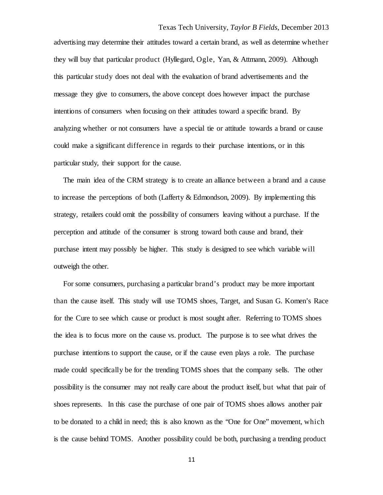advertising may determine their attitudes toward a certain brand, as well as determine whether they will buy that particular product (Hyllegard, Ogle, Yan, & Attmann, 2009). Although this particular study does not deal with the evaluation of brand advertisements and the message they give to consumers, the above concept does however impact the purchase intentions of consumers when focusing on their attitudes toward a specific brand. By analyzing whether or not consumers have a special tie or attitude towards a brand or cause could make a significant difference in regards to their purchase intentions, or in this particular study, their support for the cause.

 The main idea of the CRM strategy is to create an alliance between a brand and a cause to increase the perceptions of both (Lafferty & Edmondson, 2009). By implementing this strategy, retailers could omit the possibility of consumers leaving without a purchase. If the perception and attitude of the consumer is strong toward both cause and brand, their purchase intent may possibly be higher. This study is designed to see which variable will outweigh the other.

 For some consumers, purchasing a particular brand's product may be more important than the cause itself. This study will use TOMS shoes, Target, and Susan G. Komen's Race for the Cure to see which cause or product is most sought after. Referring to TOMS shoes the idea is to focus more on the cause vs. product. The purpose is to see what drives the purchase intentions to support the cause, or if the cause even plays a role. The purchase made could specifically be for the trending TOMS shoes that the company sells. The other possibility is the consumer may not really care about the product itself, but what that pair of shoes represents. In this case the purchase of one pair of TOMS shoes allows another pair to be donated to a child in need; this is also known as the "One for One" movement, which is the cause behind TOMS. Another possibility could be both, purchasing a trending product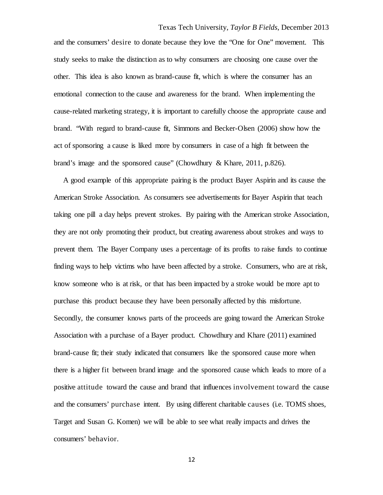and the consumers' desire to donate because they love the "One for One" movement. This study seeks to make the distinction as to why consumers are choosing one cause over the other. This idea is also known as brand-cause fit, which is where the consumer has an emotional connection to the cause and awareness for the brand. When implementing the cause-related marketing strategy, it is important to carefully choose the appropriate cause and brand. "With regard to brand-cause fit, Simmons and Becker-Olsen (2006) show how the act of sponsoring a cause is liked more by consumers in case of a high fit between the brand's image and the sponsored cause" (Chowdhury & Khare, 2011, p.826).

 A good example of this appropriate pairing is the product Bayer Aspirin and its cause the American Stroke Association. As consumers see advertisements for Bayer Aspirin that teach taking one pill a day helps prevent strokes. By pairing with the American stroke Association, they are not only promoting their product, but creating awareness about strokes and ways to prevent them. The Bayer Company uses a percentage of its profits to raise funds to continue finding ways to help victims who have been affected by a stroke. Consumers, who are at risk, know someone who is at risk, or that has been impacted by a stroke would be more apt to purchase this product because they have been personally affected by this misfortune. Secondly, the consumer knows parts of the proceeds are going toward the American Stroke Association with a purchase of a Bayer product. Chowdhury and Khare (2011) examined brand-cause fit; their study indicated that consumers like the sponsored cause more when there is a higher fit between brand image and the sponsored cause which leads to more of a positive attitude toward the cause and brand that influences involvement toward the cause and the consumers' purchase intent. By using different charitable causes (i.e. TOMS shoes, Target and Susan G. Komen) we will be able to see what really impacts and drives the consumers' behavior.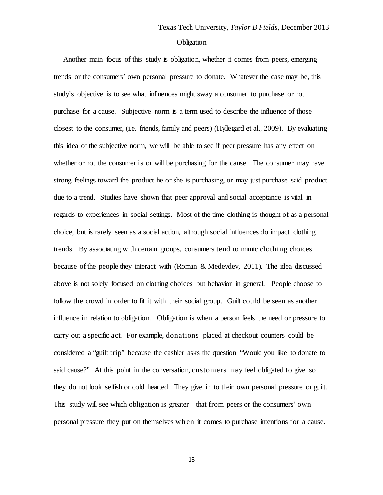# **Obligation**

 Another main focus of this study is obligation, whether it comes from peers, emerging trends or the consumers' own personal pressure to donate. Whatever the case may be, this study's objective is to see what influences might sway a consumer to purchase or not purchase for a cause. Subjective norm is a term used to describe the influence of those closest to the consumer, (i.e. friends, family and peers) (Hyllegard et al., 2009). By evaluating this idea of the subjective norm, we will be able to see if peer pressure has any effect on whether or not the consumer is or will be purchasing for the cause. The consumer may have strong feelings toward the product he or she is purchasing, or may just purchase said product due to a trend. Studies have shown that peer approval and social acceptance is vital in regards to experiences in social settings. Most of the time clothing is thought of as a personal choice, but is rarely seen as a social action, although social influences do impact clothing trends. By associating with certain groups, consumers tend to mimic clothing choices because of the people they interact with (Roman & Medevdev, 2011). The idea discussed above is not solely focused on clothing choices but behavior in general. People choose to follow the crowd in order to fit it with their social group. Guilt could be seen as another influence in relation to obligation. Obligation is when a person feels the need or pressure to carry out a specific act. For example, donations placed at checkout counters could be considered a "guilt trip" because the cashier asks the question "Would you like to donate to said cause?" At this point in the conversation, customers may feel obligated to give so they do not look selfish or cold hearted. They give in to their own personal pressure or guilt. This study will see which obligation is greater—that from peers or the consumers' own personal pressure they put on themselves when it comes to purchase intentions for a cause.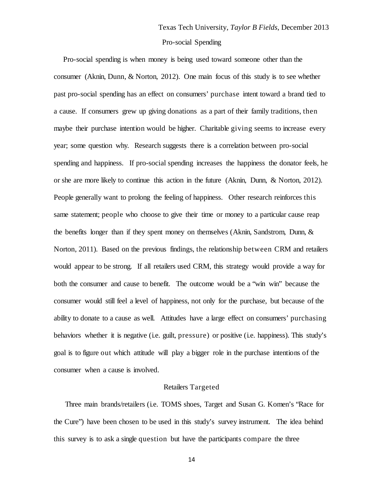Pro-social spending is when money is being used toward someone other than the consumer (Aknin, Dunn, & Norton, 2012). One main focus of this study is to see whether past pro-social spending has an effect on consumers' purchase intent toward a brand tied to a cause. If consumers grew up giving donations as a part of their family traditions, then maybe their purchase intention would be higher. Charitable giving seems to increase every year; some question why. Research suggests there is a correlation between pro-social spending and happiness. If pro-social spending increases the happiness the donator feels, he or she are more likely to continue this action in the future (Aknin, Dunn, & Norton, 2012). People generally want to prolong the feeling of happiness. Other research reinforces this same statement; people who choose to give their time or money to a particular cause reap the benefits longer than if they spent money on themselves (Aknin, Sandstrom, Dunn, & Norton, 2011). Based on the previous findings, the relationship between CRM and retailers would appear to be strong. If all retailers used CRM, this strategy would provide a way for both the consumer and cause to benefit. The outcome would be a "win win" because the consumer would still feel a level of happiness, not only for the purchase, but because of the ability to donate to a cause as well. Attitudes have a large effect on consumers' purchasing behaviors whether it is negative (i.e. guilt, pressure) or positive (i.e. happiness). This study's goal is to figure out which attitude will play a bigger role in the purchase intentions of the consumer when a cause is involved.

#### Retailers Targeted

 Three main brands/retailers (i.e. TOMS shoes, Target and Susan G. Komen's "Race for the Cure") have been chosen to be used in this study's survey instrument. The idea behind this survey is to ask a single question but have the participants compare the three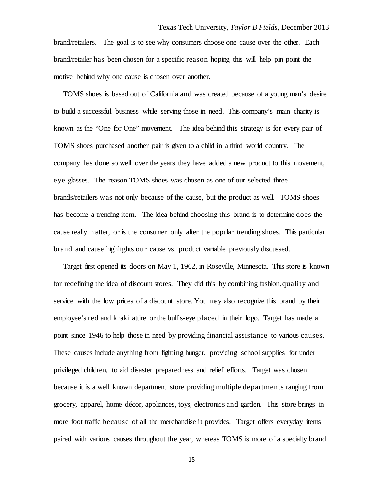brand/retailers. The goal is to see why consumers choose one cause over the other. Each brand/retailer has been chosen for a specific reason hoping this will help pin point the motive behind why one cause is chosen over another.

 TOMS shoes is based out of California and was created because of a young man's desire to build a successful business while serving those in need. This company's main charity is known as the "One for One" movement. The idea behind this strategy is for every pair of TOMS shoes purchased another pair is given to a child in a third world country. The company has done so well over the years they have added a new product to this movement, eye glasses. The reason TOMS shoes was chosen as one of our selected three brands/retailers was not only because of the cause, but the product as well. TOMS shoes has become a trending item. The idea behind choosing this brand is to determine does the cause really matter, or is the consumer only after the popular trending shoes. This particular brand and cause highlights our cause vs. product variable previously discussed.

 Target first opened its doors on May 1, 1962, in Roseville, Minnesota. This store is known for redefining the idea of discount stores. They did this by combining fashion,quality and service with the low prices of a discount store. You may also recognize this brand by their employee's red and khaki attire or the bull's-eye placed in their logo. Target has made a point since 1946 to help those in need by providing financial assistance to various causes. These causes include anything from fighting hunger, providing school supplies for under privileged children, to aid disaster preparedness and relief efforts. Target was chosen because it is a well known department store providing multiple departments ranging from grocery, apparel, home décor, appliances, toys, electronics and garden. This store brings in more foot traffic because of all the merchandise it provides. Target offers everyday items paired with various causes throughout the year, whereas TOMS is more of a specialty brand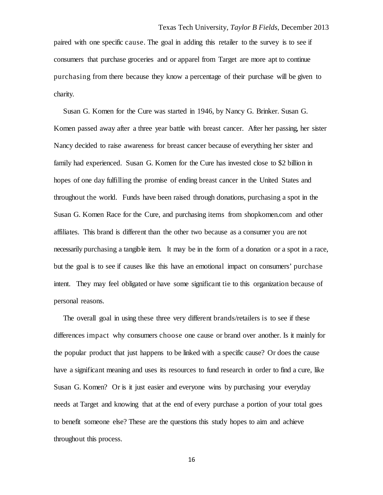paired with one specific cause. The goal in adding this retailer to the survey is to see if consumers that purchase groceries and or apparel from Target are more apt to continue purchasing from there because they know a percentage of their purchase will be given to charity.

 Susan G. Komen for the Cure was started in 1946, by Nancy G. Brinker. Susan G. Komen passed away after a three year battle with breast cancer. After her passing, her sister Nancy decided to raise awareness for breast cancer because of everything her sister and family had experienced. Susan G. Komen for the Cure has invested close to \$2 billion in hopes of one day fulfilling the promise of ending breast cancer in the United States and throughout the world. Funds have been raised through donations, purchasing a spot in the Susan G. Komen Race for the Cure, and purchasing items from shopkomen.com and other affiliates. This brand is different than the other two because as a consumer you are not necessarily purchasing a tangible item. It may be in the form of a donation or a spot in a race, but the goal is to see if causes like this have an emotional impact on consumers' purchase intent. They may feel obligated or have some significant tie to this organization because of personal reasons.

 The overall goal in using these three very different brands/retailers is to see if these differences impact why consumers choose one cause or brand over another. Is it mainly for the popular product that just happens to be linked with a specific cause? Or does the cause have a significant meaning and uses its resources to fund research in order to find a cure, like Susan G. Komen? Or is it just easier and everyone wins by purchasing your everyday needs at Target and knowing that at the end of every purchase a portion of your total goes to benefit someone else? These are the questions this study hopes to aim and achieve throughout this process.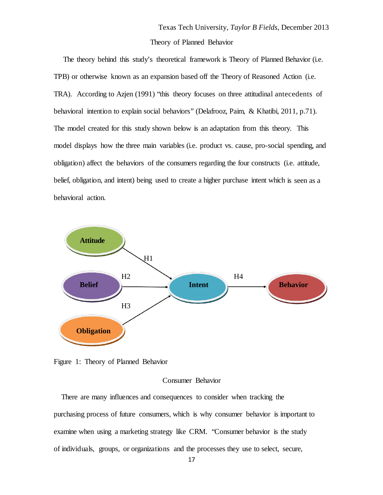The theory behind this study's theoretical framework is Theory of Planned Behavior (i.e. TPB) or otherwise known as an expansion based off the Theory of Reasoned Action (i.e. TRA). According to Azjen (1991) "this theory focuses on three attitudinal antecedents of behavioral intention to explain social behaviors" (Delafrooz, Paim, & Khatibi, 2011, p.71). The model created for this study shown below is an adaptation from this theory. This model displays how the three main variables (i.e. product vs. cause, pro-social spending, and obligation) affect the behaviors of the consumers regarding the four constructs (i.e. attitude, belief, obligation, and intent) being used to create a higher purchase intent which is seen as a behavioral action.



Figure 1: Theory of Planned Behavior

### Consumer Behavior

 There are many influences and consequences to consider when tracking the purchasing process of future consumers, which is why consumer behavior is important to examine when using a marketing strategy like CRM. "Consumer behavior is the study of individuals, groups, or organizations and the processes they use to select, secure,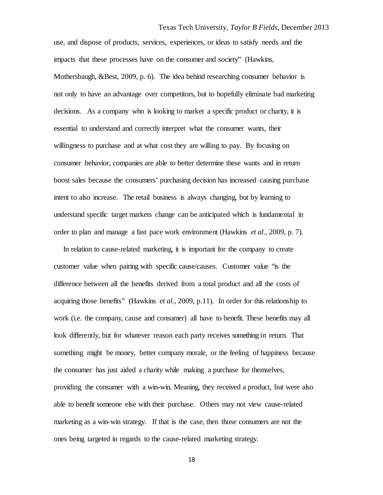use, and dispose of products, services, experiences, or ideas to satisfy needs and the impacts that these processes have on the consumer and society" (Hawkins, Mothersbaugh, &Best, 2009, p. 6). The idea behind researching consumer behavior is not only to have an advantage over competitors, but to hopefully eliminate bad marketing decisions. As a company who is looking to market a specific product or charity, it is essential to understand and correctly interpret what the consumer wants, their willingness to purchase and at what cost they are willing to pay. By focusing on consumer behavior, companies are able to better determine these wants and in return boost sales because the consumers' purchasing decision has increased causing purchase intent to also increase. The retail business is always changing, but by learning to understand specific target markets change can be anticipated which is fundamental in order to plan and manage a fast pace work environment (Hawkins *et al.,* 2009, p. 7).

 In relation to cause-related marketing, it is important for the company to create customer value when pairing with specific cause/causes. Customer value "is the difference between all the benefits derived from a total product and all the costs of acquiring those benefits" (Hawkins *et al.,* 2009, p.11). In order for this relationship to work (i.e. the company, cause and consumer) all have to benefit. These benefits may all look differently, but for whatever reason each party receives something in return. That something might be money, better company morale, or the feeling of happiness because the consumer has just aided a charity while making a purchase for themselves, providing the consumer with a win-win. Meaning, they received a product, but were also able to benefit someone else with their purchase. Others may not view cause-related marketing as a win-win strategy. If that is the case, then those consumers are not the ones being targeted in regards to the cause-related marketing strategy.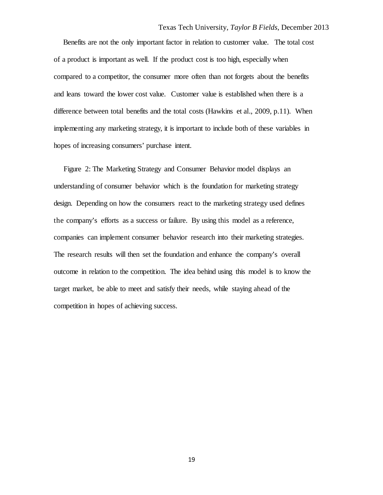Benefits are not the only important factor in relation to customer value. The total cost of a product is important as well. If the product cost is too high, especially when compared to a competitor, the consumer more often than not forgets about the benefits and leans toward the lower cost value. Customer value is established when there is a difference between total benefits and the total costs (Hawkins et al., 2009, p.11). When implementing any marketing strategy, it is important to include both of these variables in hopes of increasing consumers' purchase intent.

 Figure 2: The Marketing Strategy and Consumer Behavior model displays an understanding of consumer behavior which is the foundation for marketing strategy design. Depending on how the consumers react to the marketing strategy used defines the company's efforts as a success or failure. By using this model as a reference, companies can implement consumer behavior research into their marketing strategies. The research results will then set the foundation and enhance the company's overall outcome in relation to the competition. The idea behind using this model is to know the target market, be able to meet and satisfy their needs, while staying ahead of the competition in hopes of achieving success.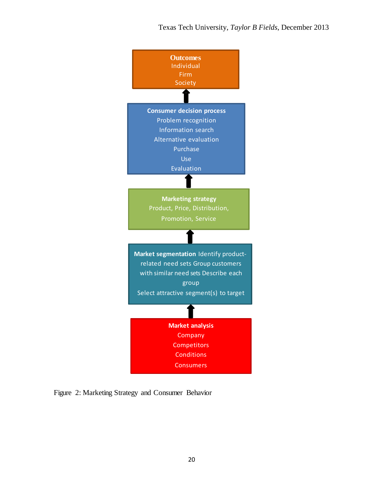

Figure 2: Marketing Strategy and Consumer Behavior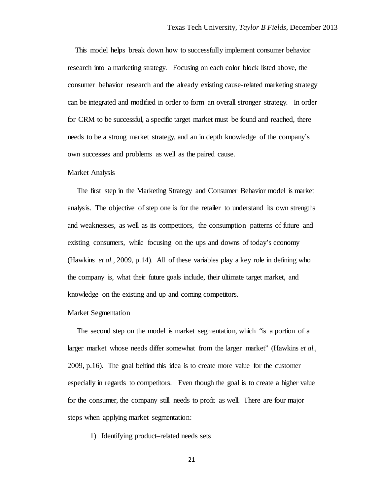This model helps break down how to successfully implement consumer behavior research into a marketing strategy. Focusing on each color block listed above, the consumer behavior research and the already existing cause-related marketing strategy can be integrated and modified in order to form an overall stronger strategy. In order for CRM to be successful, a specific target market must be found and reached, there needs to be a strong market strategy, and an in depth knowledge of the company's own successes and problems as well as the paired cause.

### Market Analysis

 The first step in the Marketing Strategy and Consumer Behavior model is market analysis. The objective of step one is for the retailer to understand its own strengths and weaknesses, as well as its competitors, the consumption patterns of future and existing consumers, while focusing on the ups and downs of today's economy (Hawkins *et al.,* 2009, p.14). All of these variables play a key role in defining who the company is, what their future goals include, their ultimate target market, and knowledge on the existing and up and coming competitors.

### Market Segmentation

 The second step on the model is market segmentation, which "is a portion of a larger market whose needs differ somewhat from the larger market" (Hawkins *et al.,*  2009, p.16). The goal behind this idea is to create more value for the customer especially in regards to competitors. Even though the goal is to create a higher value for the consumer, the company still needs to profit as well. There are four major steps when applying market segmentation:

1) Identifying product–related needs sets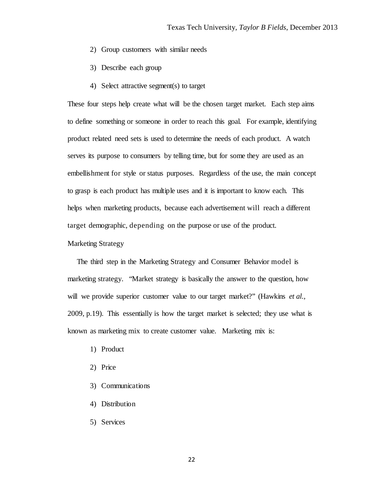- 2) Group customers with similar needs
- 3) Describe each group
- 4) Select attractive segment(s) to target

These four steps help create what will be the chosen target market. Each step aims to define something or someone in order to reach this goal. For example, identifying product related need sets is used to determine the needs of each product. A watch serves its purpose to consumers by telling time, but for some they are used as an embellishment for style or status purposes. Regardless of the use, the main concept to grasp is each product has multiple uses and it is important to know each. This helps when marketing products, because each advertisement will reach a different target demographic, depending on the purpose or use of the product.

### Marketing Strategy

 The third step in the Marketing Strategy and Consumer Behavior model is marketing strategy. "Market strategy is basically the answer to the question, how will we provide superior customer value to our target market?" (Hawkins *et al.,* 2009, p.19). This essentially is how the target market is selected; they use what is known as marketing mix to create customer value. Marketing mix is:

- 1) Product
- 2) Price
- 3) Communications
- 4) Distribution
- 5) Services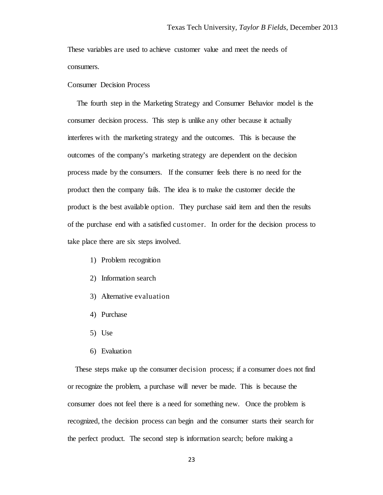These variables are used to achieve customer value and meet the needs of consumers.

### Consumer Decision Process

 The fourth step in the Marketing Strategy and Consumer Behavior model is the consumer decision process. This step is unlike any other because it actually interferes with the marketing strategy and the outcomes. This is because the outcomes of the company's marketing strategy are dependent on the decision process made by the consumers. If the consumer feels there is no need for the product then the company fails. The idea is to make the customer decide the product is the best available option. They purchase said item and then the results of the purchase end with a satisfied customer. In order for the decision process to take place there are six steps involved.

- 1) Problem recognition
- 2) Information search
- 3) Alternative evaluation
- 4) Purchase
- 5) Use
- 6) Evaluation

 These steps make up the consumer decision process; if a consumer does not find or recognize the problem, a purchase will never be made. This is because the consumer does not feel there is a need for something new. Once the problem is recognized, the decision process can begin and the consumer starts their search for the perfect product. The second step is information search; before making a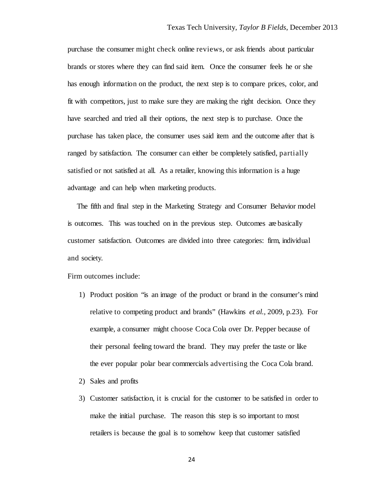purchase the consumer might check online reviews, or ask friends about particular brands or stores where they can find said item. Once the consumer feels he or she has enough information on the product, the next step is to compare prices, color, and fit with competitors, just to make sure they are making the right decision. Once they have searched and tried all their options, the next step is to purchase. Once the purchase has taken place, the consumer uses said item and the outcome after that is ranged by satisfaction. The consumer can either be completely satisfied, partially satisfied or not satisfied at all. As a retailer, knowing this information is a huge advantage and can help when marketing products.

 The fifth and final step in the Marketing Strategy and Consumer Behavior model is outcomes. This was touched on in the previous step. Outcomes are basically customer satisfaction. Outcomes are divided into three categories: firm, individual and society.

Firm outcomes include:

- 1) Product position "is an image of the product or brand in the consumer's mind relative to competing product and brands" (Hawkins *et al.,* 2009, p.23). For example, a consumer might choose Coca Cola over Dr. Pepper because of their personal feeling toward the brand. They may prefer the taste or like the ever popular polar bear commercials advertising the Coca Cola brand.
- 2) Sales and profits
- 3) Customer satisfaction, it is crucial for the customer to be satisfied in order to make the initial purchase. The reason this step is so important to most retailers is because the goal is to somehow keep that customer satisfied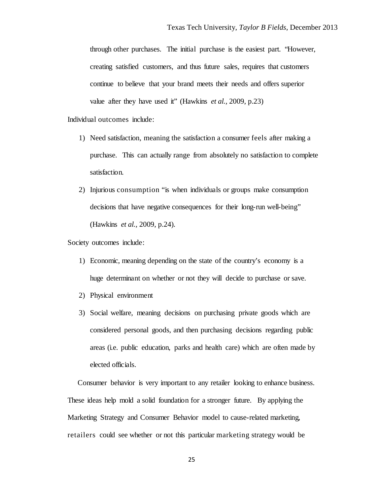through other purchases. The initial purchase is the easiest part. "However, creating satisfied customers, and thus future sales, requires that customers continue to believe that your brand meets their needs and offers superior value after they have used it" (Hawkins *et al.,* 2009, p.23)

### Individual outcomes include:

- 1) Need satisfaction, meaning the satisfaction a consumer feels after making a purchase. This can actually range from absolutely no satisfaction to complete satisfaction.
- 2) Injurious consumption "is when individuals or groups make consumption decisions that have negative consequences for their long-run well-being" (Hawkins *et al.,* 2009, p.24).

#### Society outcomes include:

- 1) Economic, meaning depending on the state of the country's economy is a huge determinant on whether or not they will decide to purchase or save.
- 2) Physical environment
- 3) Social welfare, meaning decisions on purchasing private goods which are considered personal goods, and then purchasing decisions regarding public areas (i.e. public education, parks and health care) which are often made by elected officials.

 Consumer behavior is very important to any retailer looking to enhance business. These ideas help mold a solid foundation for a stronger future. By applying the Marketing Strategy and Consumer Behavior model to cause-related marketing, retailers could see whether or not this particular marketing strategy would be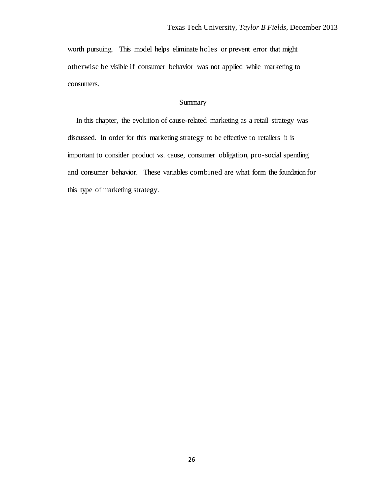worth pursuing. This model helps eliminate holes or prevent error that might otherwise be visible if consumer behavior was not applied while marketing to consumers.

# Summary

 In this chapter, the evolution of cause-related marketing as a retail strategy was discussed. In order for this marketing strategy to be effective to retailers it is important to consider product vs. cause, consumer obligation, pro-social spending and consumer behavior. These variables combined are what form the foundation for this type of marketing strategy.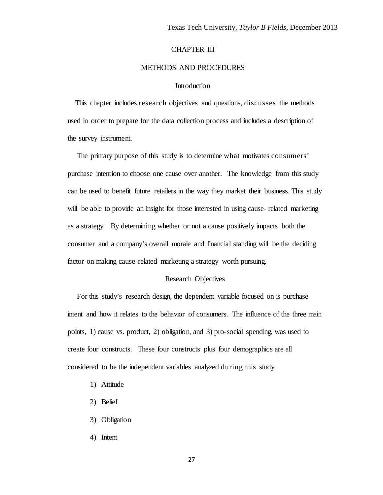### CHAPTER III

### METHODS AND PROCEDURES

### **Introduction**

 This chapter includes research objectives and questions, discusses the methods used in order to prepare for the data collection process and includes a description of the survey instrument.

 The primary purpose of this study is to determine what motivates consumers' purchase intention to choose one cause over another. The knowledge from this study can be used to benefit future retailers in the way they market their business. This study will be able to provide an insight for those interested in using cause- related marketing as a strategy. By determining whether or not a cause positively impacts both the consumer and a company's overall morale and financial standing will be the deciding factor on making cause-related marketing a strategy worth pursuing.

### Research Objectives

 For this study's research design, the dependent variable focused on is purchase intent and how it relates to the behavior of consumers. The influence of the three main points, 1) cause vs. product, 2) obligation, and 3) pro-social spending, was used to create four constructs. These four constructs plus four demographics are all considered to be the independent variables analyzed during this study.

- 1) Attitude
- 2) Belief
- 3) Obligation
- 4) Intent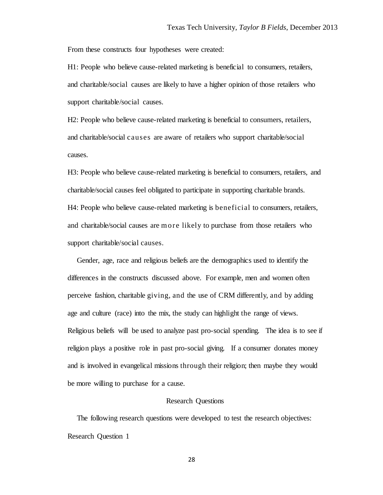From these constructs four hypotheses were created:

H1: People who believe cause-related marketing is beneficial to consumers, retailers, and charitable/social causes are likely to have a higher opinion of those retailers who support charitable/social causes.

H2: People who believe cause-related marketing is beneficial to consumers, retailers, and charitable/social causes are aware of retailers who support charitable/social causes.

H3: People who believe cause-related marketing is beneficial to consumers, retailers, and charitable/social causes feel obligated to participate in supporting charitable brands. H4: People who believe cause-related marketing is beneficial to consumers, retailers, and charitable/social causes are more likely to purchase from those retailers who support charitable/social causes.

 Gender, age, race and religious beliefs are the demographics used to identify the differences in the constructs discussed above. For example, men and women often perceive fashion, charitable giving, and the use of CRM differently, and by adding age and culture (race) into the mix, the study can highlight the range of views. Religious beliefs will be used to analyze past pro-social spending. The idea is to see if religion plays a positive role in past pro-social giving. If a consumer donates money and is involved in evangelical missions through their religion; then maybe they would be more willing to purchase for a cause.

### Research Questions

 The following research questions were developed to test the research objectives: Research Question 1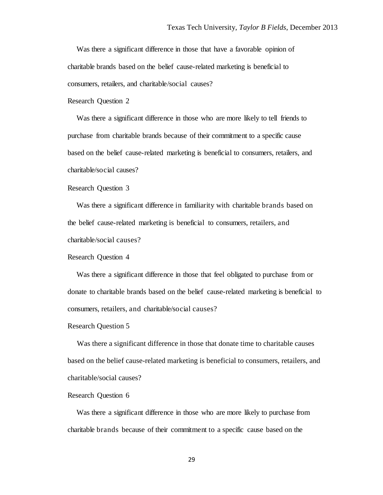Was there a significant difference in those that have a favorable opinion of charitable brands based on the belief cause-related marketing is beneficial to consumers, retailers, and charitable/social causes?

Research Question 2

 Was there a significant difference in those who are more likely to tell friends to purchase from charitable brands because of their commitment to a specific cause based on the belief cause-related marketing is beneficial to consumers, retailers, and charitable/social causes?

#### Research Question 3

 Was there a significant difference in familiarity with charitable brands based on the belief cause-related marketing is beneficial to consumers, retailers, and charitable/social causes?

Research Question 4

 Was there a significant difference in those that feel obligated to purchase from or donate to charitable brands based on the belief cause-related marketing is beneficial to consumers, retailers, and charitable/social causes?

#### Research Question 5

 Was there a significant difference in those that donate time to charitable causes based on the belief cause-related marketing is beneficial to consumers, retailers, and charitable/social causes?

### Research Question 6

 Was there a significant difference in those who are more likely to purchase from charitable brands because of their commitment to a specific cause based on the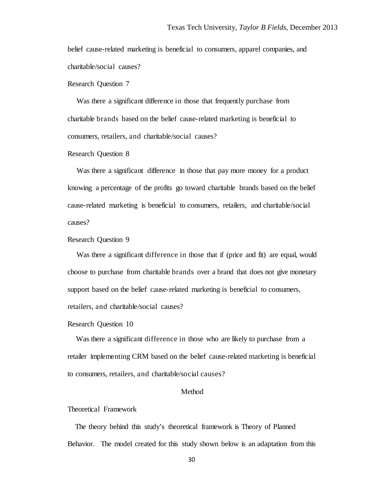belief cause-related marketing is beneficial to consumers, apparel companies, and charitable/social causes?

Research Question 7

 Was there a significant difference in those that frequently purchase from charitable brands based on the belief cause-related marketing is beneficial to consumers, retailers, and charitable/social causes?

Research Question 8

 Was there a significant difference in those that pay more money for a product knowing a percentage of the profits go toward charitable brands based on the belief cause-related marketing is beneficial to consumers, retailers, and charitable/social causes?

Research Question 9

 Was there a significant difference in those that if (price and fit) are equal, would choose to purchase from charitable brands over a brand that does not give monetary support based on the belief cause-related marketing is beneficial to consumers, retailers, and charitable/social causes?

Research Question 10

 Was there a significant difference in those who are likely to purchase from a retailer implementing CRM based on the belief cause-related marketing is beneficial to consumers, retailers, and charitable/social causes?

### Method

Theoretical Framework

 The theory behind this study's theoretical framework is Theory of Planned Behavior. The model created for this study shown below is an adaptation from this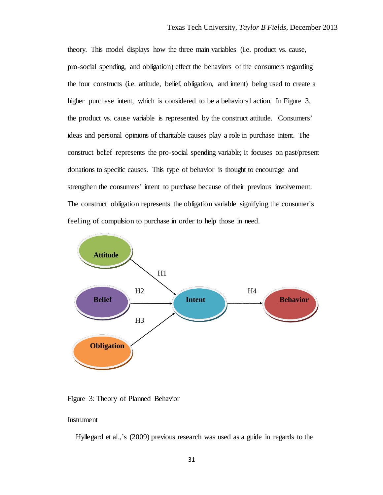theory. This model displays how the three main variables (i.e. product vs. cause, pro-social spending, and obligation) effect the behaviors of the consumers regarding the four constructs (i.e. attitude, belief, obligation, and intent) being used to create a higher purchase intent, which is considered to be a behavioral action. In Figure 3, the product vs. cause variable is represented by the construct attitude. Consumers' ideas and personal opinions of charitable causes play a role in purchase intent. The construct belief represents the pro-social spending variable; it focuses on past/present donations to specific causes. This type of behavior is thought to encourage and strengthen the consumers' intent to purchase because of their previous involvement. The construct obligation represents the obligation variable signifying the consumer's feeling of compulsion to purchase in order to help those in need.



Figure 3: Theory of Planned Behavior

# Instrument

Hyllegard et al.,'s (2009) previous research was used as a guide in regards to the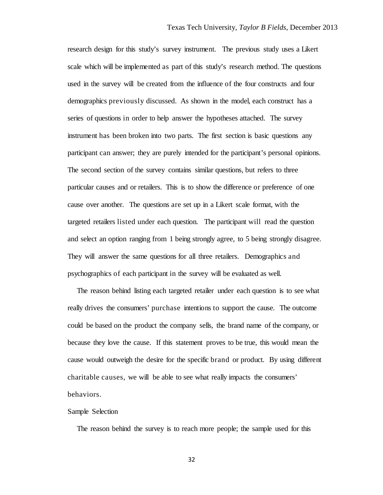research design for this study's survey instrument. The previous study uses a Likert scale which will be implemented as part of this study's research method. The questions used in the survey will be created from the influence of the four constructs and four demographics previously discussed. As shown in the model, each construct has a series of questions in order to help answer the hypotheses attached. The survey instrument has been broken into two parts. The first section is basic questions any participant can answer; they are purely intended for the participant's personal opinions. The second section of the survey contains similar questions, but refers to three particular causes and or retailers. This is to show the difference or preference of one cause over another. The questions are set up in a Likert scale format, with the targeted retailers listed under each question. The participant will read the question and select an option ranging from 1 being strongly agree, to 5 being strongly disagree. They will answer the same questions for all three retailers. Demographics and psychographics of each participant in the survey will be evaluated as well.

 The reason behind listing each targeted retailer under each question is to see what really drives the consumers' purchase intentions to support the cause. The outcome could be based on the product the company sells, the brand name of the company, or because they love the cause. If this statement proves to be true, this would mean the cause would outweigh the desire for the specific brand or product. By using different charitable causes, we will be able to see what really impacts the consumers' behaviors.

#### Sample Selection

The reason behind the survey is to reach more people; the sample used for this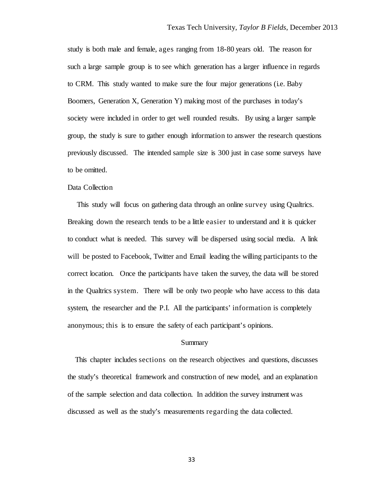study is both male and female, ages ranging from 18-80 years old. The reason for such a large sample group is to see which generation has a larger influence in regards to CRM. This study wanted to make sure the four major generations (i.e. Baby Boomers, Generation X, Generation Y) making most of the purchases in today's society were included in order to get well rounded results. By using a larger sample group, the study is sure to gather enough information to answer the research questions previously discussed. The intended sample size is 300 just in case some surveys have to be omitted.

## Data Collection

 This study will focus on gathering data through an online survey using Qualtrics. Breaking down the research tends to be a little easier to understand and it is quicker to conduct what is needed. This survey will be dispersed using social media. A link will be posted to Facebook, Twitter and Email leading the willing participants to the correct location. Once the participants have taken the survey, the data will be stored in the Qualtrics system. There will be only two people who have access to this data system, the researcher and the P.I. All the participants' information is completely anonymous; this is to ensure the safety of each participant's opinions.

#### Summary

 This chapter includes sections on the research objectives and questions, discusses the study's theoretical framework and construction of new model, and an explanation of the sample selection and data collection. In addition the survey instrument was discussed as well as the study's measurements regarding the data collected.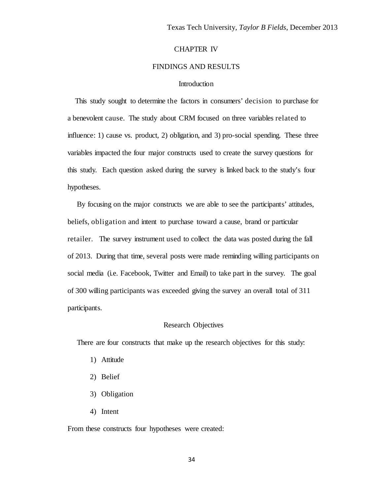### CHAPTER IV

## FINDINGS AND RESULTS

## Introduction

 This study sought to determine the factors in consumers' decision to purchase for a benevolent cause. The study about CRM focused on three variables related to influence: 1) cause vs. product, 2) obligation, and 3) pro-social spending. These three variables impacted the four major constructs used to create the survey questions for this study. Each question asked during the survey is linked back to the study's four hypotheses.

 By focusing on the major constructs we are able to see the participants' attitudes, beliefs, obligation and intent to purchase toward a cause, brand or particular retailer. The survey instrument used to collect the data was posted during the fall of 2013. During that time, several posts were made reminding willing participants on social media (i.e. Facebook, Twitter and Email) to take part in the survey. The goal of 300 willing participants was exceeded giving the survey an overall total of 311 participants.

#### Research Objectives

There are four constructs that make up the research objectives for this study:

- 1) Attitude
- 2) Belief
- 3) Obligation
- 4) Intent

From these constructs four hypotheses were created: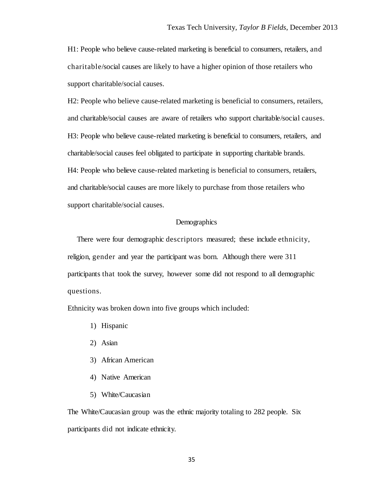H1: People who believe cause-related marketing is beneficial to consumers, retailers, and charitable/social causes are likely to have a higher opinion of those retailers who support charitable/social causes.

H2: People who believe cause-related marketing is beneficial to consumers, retailers, and charitable/social causes are aware of retailers who support charitable/social causes. H3: People who believe cause-related marketing is beneficial to consumers, retailers, and charitable/social causes feel obligated to participate in supporting charitable brands. H4: People who believe cause-related marketing is beneficial to consumers, retailers, and charitable/social causes are more likely to purchase from those retailers who support charitable/social causes.

## **Demographics**

 There were four demographic descriptors measured; these include ethnicity, religion, gender and year the participant was born. Although there were 311 participants that took the survey, however some did not respond to all demographic questions.

Ethnicity was broken down into five groups which included:

- 1) Hispanic
- 2) Asian
- 3) African American
- 4) Native American
- 5) White/Caucasian

The White/Caucasian group was the ethnic majority totaling to 282 people. Six participants did not indicate ethnicity.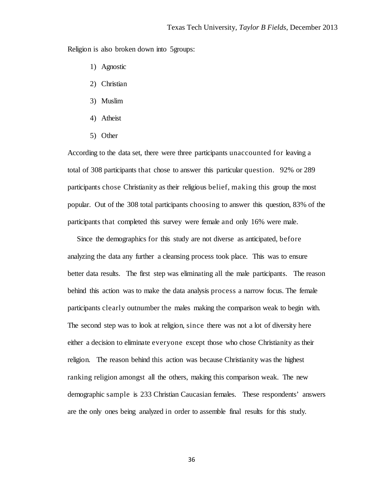Religion is also broken down into 5groups:

- 1) Agnostic
- 2) Christian
- 3) Muslim
- 4) Atheist
- 5) Other

According to the data set, there were three participants unaccounted for leaving a total of 308 participants that chose to answer this particular question. 92% or 289 participants chose Christianity as their religious belief, making this group the most popular. Out of the 308 total participants choosing to answer this question, 83% of the participants that completed this survey were female and only 16% were male.

 Since the demographics for this study are not diverse as anticipated, before analyzing the data any further a cleansing process took place. This was to ensure better data results. The first step was eliminating all the male participants. The reason behind this action was to make the data analysis process a narrow focus. The female participants clearly outnumber the males making the comparison weak to begin with. The second step was to look at religion, since there was not a lot of diversity here either a decision to eliminate everyone except those who chose Christianity as their religion. The reason behind this action was because Christianity was the highest ranking religion amongst all the others, making this comparison weak. The new demographic sample is 233 Christian Caucasian females. These respondents' answers are the only ones being analyzed in order to assemble final results for this study.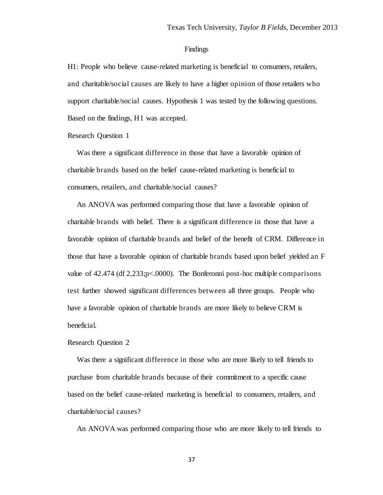#### Findings

H1: People who believe cause-related marketing is beneficial to consumers, retailers, and charitable/social causes are likely to have a higher opinion of those retailers who support charitable/social causes. Hypothesis 1 was tested by the following questions. Based on the findings, H1 was accepted.

#### Research Question 1

Was there a significant difference in those that have a favorable opinion of charitable brands based on the belief cause-related marketing is beneficial to consumers, retailers, and charitable/social causes?

 An ANOVA was performed comparing those that have a favorable opinion of charitable brands with belief. There is a significant difference in those that have a favorable opinion of charitable brands and belief of the benefit of CRM. Difference in those that have a favorable opinion of charitable brands based upon belief yielded an F value of 42.474 (df 2,233;p<.0000). The Bonferonni post-hoc multiple comparisons test further showed significant differences between all three groups. People who have a favorable opinion of charitable brands are more likely to believe CRM is beneficial.

#### Research Question 2

 Was there a significant difference in those who are more likely to tell friends to purchase from charitable brands because of their commitment to a specific cause based on the belief cause-related marketing is beneficial to consumers, retailers, and charitable/social causes?

An ANOVA was performed comparing those who are more likely to tell friends to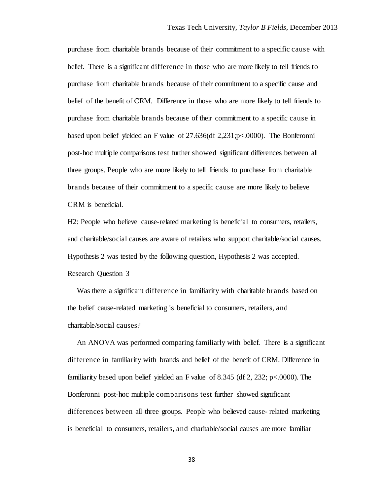purchase from charitable brands because of their commitment to a specific cause with belief. There is a significant difference in those who are more likely to tell friends to purchase from charitable brands because of their commitment to a specific cause and belief of the benefit of CRM. Difference in those who are more likely to tell friends to purchase from charitable brands because of their commitment to a specific cause in based upon belief yielded an F value of 27.636(df 2,231;p<.0000). The Bonferonni post-hoc multiple comparisons test further showed significant differences between all three groups. People who are more likely to tell friends to purchase from charitable brands because of their commitment to a specific cause are more likely to believe CRM is beneficial.

H2: People who believe cause-related marketing is beneficial to consumers, retailers, and charitable/social causes are aware of retailers who support charitable/social causes. Hypothesis 2 was tested by the following question, Hypothesis 2 was accepted. Research Question 3

 Was there a significant difference in familiarity with charitable brands based on the belief cause-related marketing is beneficial to consumers, retailers, and charitable/social causes?

 An ANOVA was performed comparing familiarly with belief. There is a significant difference in familiarity with brands and belief of the benefit of CRM. Difference in familiarity based upon belief yielded an F value of 8.345 (df 2, 232; p<.0000). The Bonferonni post-hoc multiple comparisons test further showed significant differences between all three groups. People who believed cause- related marketing is beneficial to consumers, retailers, and charitable/social causes are more familiar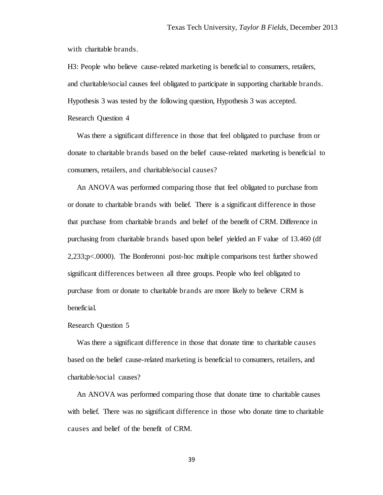with charitable brands.

H3: People who believe cause-related marketing is beneficial to consumers, retailers, and charitable/social causes feel obligated to participate in supporting charitable brands. Hypothesis 3 was tested by the following question, Hypothesis 3 was accepted.

Research Question 4

 Was there a significant difference in those that feel obligated to purchase from or donate to charitable brands based on the belief cause-related marketing is beneficial to consumers, retailers, and charitable/social causes?

 An ANOVA was performed comparing those that feel obligated to purchase from or donate to charitable brands with belief. There is a significant difference in those that purchase from charitable brands and belief of the benefit of CRM. Difference in purchasing from charitable brands based upon belief yielded an F value of 13.460 (df 2,233;p<.0000). The Bonferonni post-hoc multiple comparisons test further showed significant differences between all three groups. People who feel obligated to purchase from or donate to charitable brands are more likely to believe CRM is beneficial.

#### Research Question 5

 Was there a significant difference in those that donate time to charitable causes based on the belief cause-related marketing is beneficial to consumers, retailers, and charitable/social causes?

 An ANOVA was performed comparing those that donate time to charitable causes with belief. There was no significant difference in those who donate time to charitable causes and belief of the benefit of CRM.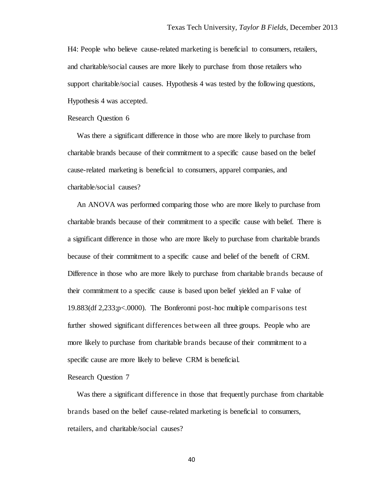H4: People who believe cause-related marketing is beneficial to consumers, retailers, and charitable/social causes are more likely to purchase from those retailers who support charitable/social causes. Hypothesis 4 was tested by the following questions, Hypothesis 4 was accepted.

Research Question 6

 Was there a significant difference in those who are more likely to purchase from charitable brands because of their commitment to a specific cause based on the belief cause-related marketing is beneficial to consumers, apparel companies, and charitable/social causes?

 An ANOVA was performed comparing those who are more likely to purchase from charitable brands because of their commitment to a specific cause with belief. There is a significant difference in those who are more likely to purchase from charitable brands because of their commitment to a specific cause and belief of the benefit of CRM. Difference in those who are more likely to purchase from charitable brands because of their commitment to a specific cause is based upon belief yielded an F value of 19.883(df 2,233;p<.0000). The Bonferonni post-hoc multiple comparisons test further showed significant differences between all three groups. People who are more likely to purchase from charitable brands because of their commitment to a specific cause are more likely to believe CRM is beneficial.

Research Question 7

 Was there a significant difference in those that frequently purchase from charitable brands based on the belief cause-related marketing is beneficial to consumers, retailers, and charitable/social causes?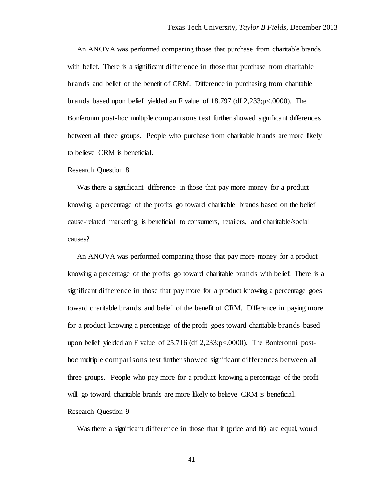An ANOVA was performed comparing those that purchase from charitable brands with belief. There is a significant difference in those that purchase from charitable brands and belief of the benefit of CRM. Difference in purchasing from charitable brands based upon belief yielded an F value of 18.797 (df 2,233;p<.0000). The Bonferonni post-hoc multiple comparisons test further showed significant differences between all three groups. People who purchase from charitable brands are more likely to believe CRM is beneficial.

#### Research Question 8

 Was there a significant difference in those that pay more money for a product knowing a percentage of the profits go toward charitable brands based on the belief cause-related marketing is beneficial to consumers, retailers, and charitable/social causes?

 An ANOVA was performed comparing those that pay more money for a product knowing a percentage of the profits go toward charitable brands with belief. There is a significant difference in those that pay more for a product knowing a percentage goes toward charitable brands and belief of the benefit of CRM. Difference in paying more for a product knowing a percentage of the profit goes toward charitable brands based upon belief yielded an F value of 25.716 (df 2,233;p<.0000). The Bonferonni posthoc multiple comparisons test further showed significant differences between all three groups. People who pay more for a product knowing a percentage of the profit will go toward charitable brands are more likely to believe CRM is beneficial. Research Question 9

Was there a significant difference in those that if (price and fit) are equal, would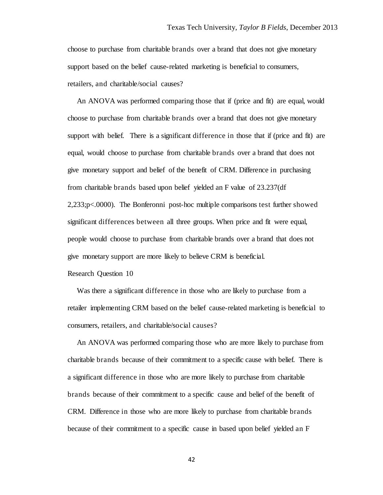choose to purchase from charitable brands over a brand that does not give monetary support based on the belief cause-related marketing is beneficial to consumers, retailers, and charitable/social causes?

 An ANOVA was performed comparing those that if (price and fit) are equal, would choose to purchase from charitable brands over a brand that does not give monetary support with belief. There is a significant difference in those that if (price and fit) are equal, would choose to purchase from charitable brands over a brand that does not give monetary support and belief of the benefit of CRM. Difference in purchasing from charitable brands based upon belief yielded an F value of 23.237(df 2,233;p<.0000). The Bonferonni post-hoc multiple comparisons test further showed significant differences between all three groups. When price and fit were equal, people would choose to purchase from charitable brands over a brand that does not give monetary support are more likely to believe CRM is beneficial.

Research Question 10

 Was there a significant difference in those who are likely to purchase from a retailer implementing CRM based on the belief cause-related marketing is beneficial to consumers, retailers, and charitable/social causes?

 An ANOVA was performed comparing those who are more likely to purchase from charitable brands because of their commitment to a specific cause with belief. There is a significant difference in those who are more likely to purchase from charitable brands because of their commitment to a specific cause and belief of the benefit of CRM. Difference in those who are more likely to purchase from charitable brands because of their commitment to a specific cause in based upon belief yielded an F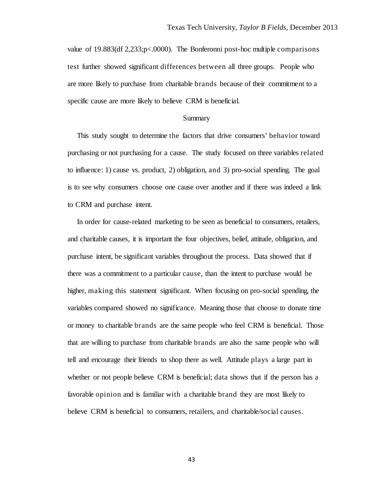value of 19.883(df 2,233;p<.0000). The Bonferonni post-hoc multiple comparisons test further showed significant differences between all three groups. People who are more likely to purchase from charitable brands because of their commitment to a specific cause are more likely to believe CRM is beneficial.

#### Summary

 This study sought to determine the factors that drive consumers' behavior toward purchasing or not purchasing for a cause. The study focused on three variables related to influence: 1) cause vs. product, 2) obligation, and 3) pro-social spending. The goal is to see why consumers choose one cause over another and if there was indeed a link to CRM and purchase intent.

 In order for cause-related marketing to be seen as beneficial to consumers, retailers, and charitable causes, it is important the four objectives, belief, attitude, obligation, and purchase intent, be significant variables throughout the process. Data showed that if there was a commitment to a particular cause, than the intent to purchase would be higher, making this statement significant. When focusing on pro-social spending, the variables compared showed no significance. Meaning those that choose to donate time or money to charitable brands are the same people who feel CRM is beneficial. Those that are willing to purchase from charitable brands are also the same people who will tell and encourage their friends to shop there as well. Attitude plays a large part in whether or not people believe CRM is beneficial; data shows that if the person has a favorable opinion and is familiar with a charitable brand they are most likely to believe CRM is beneficial to consumers, retailers, and charitable/social causes.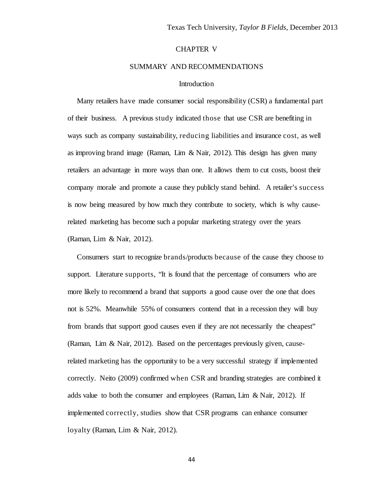## CHAPTER V

### SUMMARY AND RECOMMENDATIONS

## Introduction

 Many retailers have made consumer social responsibility (CSR) a fundamental part of their business. A previous study indicated those that use CSR are benefiting in ways such as company sustainability, reducing liabilities and insurance cost, as well as improving brand image (Raman, Lim  $\&$  Nair, 2012). This design has given many retailers an advantage in more ways than one. It allows them to cut costs, boost their company morale and promote a cause they publicly stand behind. A retailer's success is now being measured by how much they contribute to society, which is why causerelated marketing has become such a popular marketing strategy over the years (Raman, Lim & Nair, 2012).

 Consumers start to recognize brands/products because of the cause they choose to support. Literature supports, "It is found that the percentage of consumers who are more likely to recommend a brand that supports a good cause over the one that does not is 52%. Meanwhile 55% of consumers contend that in a recession they will buy from brands that support good causes even if they are not necessarily the cheapest" (Raman, Lim & Nair, 2012). Based on the percentages previously given, causerelated marketing has the opportunity to be a very successful strategy if implemented correctly. Neito (2009) confirmed when CSR and branding strategies are combined it adds value to both the consumer and employees (Raman, Lim  $\&$  Nair, 2012). If implemented correctly, studies show that CSR programs can enhance consumer loyalty (Raman, Lim & Nair, 2012).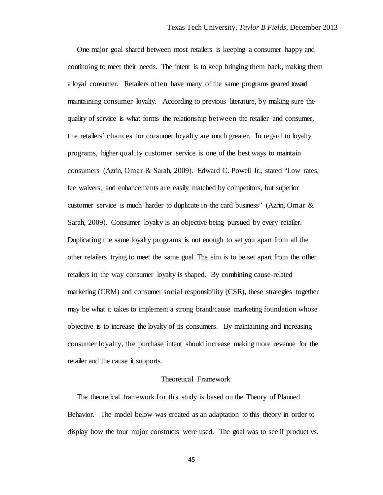One major goal shared between most retailers is keeping a consumer happy and continuing to meet their needs. The intent is to keep bringing them back, making them a loyal consumer. Retailers often have many of the same programs geared toward maintaining consumer loyalty. According to previous literature, by making sure the quality of service is what forms the relationship between the retailer and consumer, the retailers' chances for consumer loyalty are much greater. In regard to loyalty programs, higher quality customer service is one of the best ways to maintain consumers (Azrin, Omar & Sarah, 2009). Edward C. Powell Jr., stated "Low rates, fee waivers, and enhancements are easily matched by competitors, but superior customer service is much harder to duplicate in the card business" (Azrin, Omar  $\&$ Sarah, 2009). Consumer loyalty is an objective being pursued by every retailer. Duplicating the same loyalty programs is not enough to set you apart from all the other retailers trying to meet the same goal. The aim is to be set apart from the other retailers in the way consumer loyalty is shaped. By combining cause-related marketing (CRM) and consumer social responsibility (CSR), these strategies together may be what it takes to implement a strong brand/cause marketing foundation whose objective is to increase the loyalty of its consumers. By maintaining and increasing consumer loyalty, the purchase intent should increase making more revenue for the retailer and the cause it supports.

## Theoretical Framework

 The theoretical framework for this study is based on the Theory of Planned Behavior. The model below was created as an adaptation to this theory in order to display how the four major constructs were used. The goal was to see if product vs.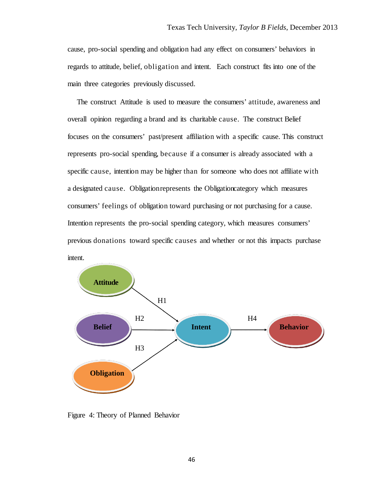cause, pro-social spending and obligation had any effect on consumers' behaviors in regards to attitude, belief, obligation and intent. Each construct fits into one of the main three categories previously discussed.

 The construct Attitude is used to measure the consumers' attitude, awareness and overall opinion regarding a brand and its charitable cause. The construct Belief focuses on the consumers' past/present affiliation with a specific cause. This construct represents pro-social spending, because if a consumer is already associated with a specific cause, intention may be higher than for someone who does not affiliate with a designated cause. Obligation represents the Obligation category which measures consumers' feelings of obligation toward purchasing or not purchasing for a cause. Intention represents the pro-social spending category, which measures consumers' previous donations toward specific causes and whether or not this impacts purchase intent.



Figure 4: Theory of Planned Behavior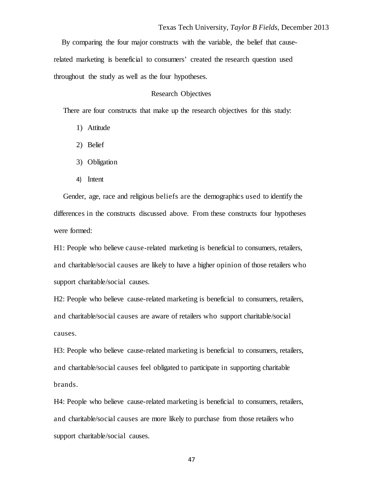By comparing the four major constructs with the variable, the belief that causerelated marketing is beneficial to consumers' created the research question used throughout the study as well as the four hypotheses.

## Research Objectives

There are four constructs that make up the research objectives for this study:

- 1) Attitude
- 2) Belief
- 3) Obligation
- 4) Intent

 Gender, age, race and religious beliefs are the demographics used to identify the differences in the constructs discussed above. From these constructs four hypotheses were formed:

H1: People who believe cause-related marketing is beneficial to consumers, retailers, and charitable/social causes are likely to have a higher opinion of those retailers who support charitable/social causes.

H2: People who believe cause-related marketing is beneficial to consumers, retailers, and charitable/social causes are aware of retailers who support charitable/social causes.

H3: People who believe cause-related marketing is beneficial to consumers, retailers, and charitable/social causes feel obligated to participate in supporting charitable brands.

H4: People who believe cause-related marketing is beneficial to consumers, retailers, and charitable/social causes are more likely to purchase from those retailers who support charitable/social causes.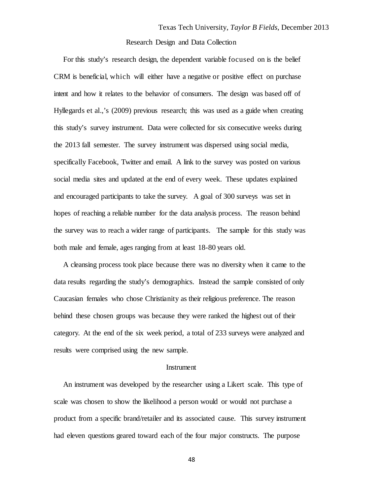### Research Design and Data Collection

 For this study's research design, the dependent variable focused on is the belief CRM is beneficial, which will either have a negative or positive effect on purchase intent and how it relates to the behavior of consumers. The design was based off of Hyllegards et al.,'s (2009) previous research; this was used as a guide when creating this study's survey instrument. Data were collected for six consecutive weeks during the 2013 fall semester. The survey instrument was dispersed using social media, specifically Facebook, Twitter and email. A link to the survey was posted on various social media sites and updated at the end of every week. These updates explained and encouraged participants to take the survey. A goal of 300 surveys was set in hopes of reaching a reliable number for the data analysis process. The reason behind the survey was to reach a wider range of participants. The sample for this study was both male and female, ages ranging from at least 18-80 years old.

 A cleansing process took place because there was no diversity when it came to the data results regarding the study's demographics. Instead the sample consisted of only Caucasian females who chose Christianity as their religious preference. The reason behind these chosen groups was because they were ranked the highest out of their category. At the end of the six week period, a total of 233 surveys were analyzed and results were comprised using the new sample.

#### Instrument

 An instrument was developed by the researcher using a Likert scale. This type of scale was chosen to show the likelihood a person would or would not purchase a product from a specific brand/retailer and its associated cause. This survey instrument had eleven questions geared toward each of the four major constructs. The purpose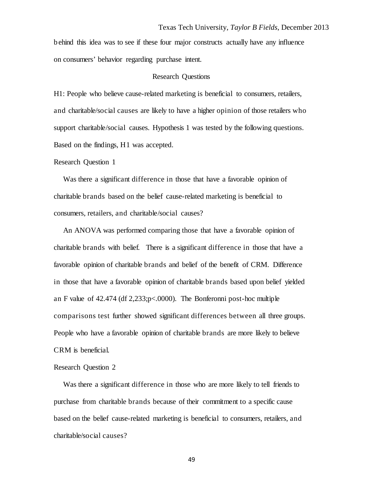behind this idea was to see if these four major constructs actually have any influence on consumers' behavior regarding purchase intent.

#### Research Questions

H1: People who believe cause-related marketing is beneficial to consumers, retailers, and charitable/social causes are likely to have a higher opinion of those retailers who support charitable/social causes. Hypothesis 1 was tested by the following questions. Based on the findings, H1 was accepted.

#### Research Question 1

Was there a significant difference in those that have a favorable opinion of charitable brands based on the belief cause-related marketing is beneficial to consumers, retailers, and charitable/social causes?

 An ANOVA was performed comparing those that have a favorable opinion of charitable brands with belief. There is a significant difference in those that have a favorable opinion of charitable brands and belief of the benefit of CRM. Difference in those that have a favorable opinion of charitable brands based upon belief yielded an F value of 42.474 (df 2,233;p<.0000). The Bonferonni post-hoc multiple comparisons test further showed significant differences between all three groups. People who have a favorable opinion of charitable brands are more likely to believe CRM is beneficial.

#### Research Question 2

 Was there a significant difference in those who are more likely to tell friends to purchase from charitable brands because of their commitment to a specific cause based on the belief cause-related marketing is beneficial to consumers, retailers, and charitable/social causes?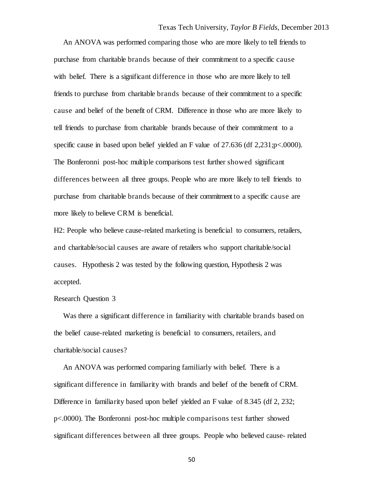An ANOVA was performed comparing those who are more likely to tell friends to purchase from charitable brands because of their commitment to a specific cause with belief. There is a significant difference in those who are more likely to tell friends to purchase from charitable brands because of their commitment to a specific cause and belief of the benefit of CRM. Difference in those who are more likely to tell friends to purchase from charitable brands because of their commitment to a specific cause in based upon belief yielded an F value of 27.636 (df 2,231;p<.0000). The Bonferonni post-hoc multiple comparisons test further showed significant differences between all three groups. People who are more likely to tell friends to purchase from charitable brands because of their commitment to a specific cause are more likely to believe CRM is beneficial.

H2: People who believe cause-related marketing is beneficial to consumers, retailers, and charitable/social causes are aware of retailers who support charitable/social causes. Hypothesis 2 was tested by the following question, Hypothesis 2 was accepted.

### Research Question 3

 Was there a significant difference in familiarity with charitable brands based on the belief cause-related marketing is beneficial to consumers, retailers, and charitable/social causes?

 An ANOVA was performed comparing familiarly with belief. There is a significant difference in familiarity with brands and belief of the benefit of CRM. Difference in familiarity based upon belief yielded an F value of 8.345 (df 2, 232; p<.0000). The Bonferonni post-hoc multiple comparisons test further showed significant differences between all three groups. People who believed cause- related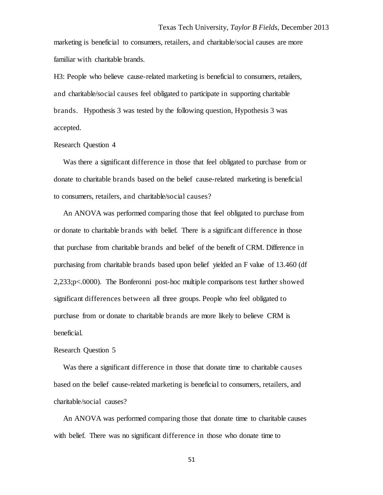marketing is beneficial to consumers, retailers, and charitable/social causes are more familiar with charitable brands.

H3: People who believe cause-related marketing is beneficial to consumers, retailers, and charitable/social causes feel obligated to participate in supporting charitable brands. Hypothesis 3 was tested by the following question, Hypothesis 3 was accepted.

#### Research Question 4

 Was there a significant difference in those that feel obligated to purchase from or donate to charitable brands based on the belief cause-related marketing is beneficial to consumers, retailers, and charitable/social causes?

 An ANOVA was performed comparing those that feel obligated to purchase from or donate to charitable brands with belief. There is a significant difference in those that purchase from charitable brands and belief of the benefit of CRM. Difference in purchasing from charitable brands based upon belief yielded an F value of 13.460 (df 2,233;p<.0000). The Bonferonni post-hoc multiple comparisons test further showed significant differences between all three groups. People who feel obligated to purchase from or donate to charitable brands are more likely to believe CRM is beneficial.

## Research Question 5

 Was there a significant difference in those that donate time to charitable causes based on the belief cause-related marketing is beneficial to consumers, retailers, and charitable/social causes?

 An ANOVA was performed comparing those that donate time to charitable causes with belief. There was no significant difference in those who donate time to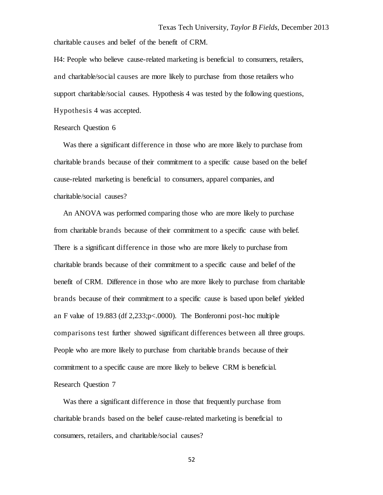charitable causes and belief of the benefit of CRM.

H4: People who believe cause-related marketing is beneficial to consumers, retailers, and charitable/social causes are more likely to purchase from those retailers who support charitable/social causes. Hypothesis 4 was tested by the following questions, Hypothesis 4 was accepted.

## Research Question 6

Was there a significant difference in those who are more likely to purchase from charitable brands because of their commitment to a specific cause based on the belief cause-related marketing is beneficial to consumers, apparel companies, and charitable/social causes?

 An ANOVA was performed comparing those who are more likely to purchase from charitable brands because of their commitment to a specific cause with belief. There is a significant difference in those who are more likely to purchase from charitable brands because of their commitment to a specific cause and belief of the benefit of CRM. Difference in those who are more likely to purchase from charitable brands because of their commitment to a specific cause is based upon belief yielded an F value of 19.883 (df 2,233;p<.0000). The Bonferonni post-hoc multiple comparisons test further showed significant differences between all three groups. People who are more likely to purchase from charitable brands because of their commitment to a specific cause are more likely to believe CRM is beneficial. Research Question 7

 Was there a significant difference in those that frequently purchase from charitable brands based on the belief cause-related marketing is beneficial to consumers, retailers, and charitable/social causes?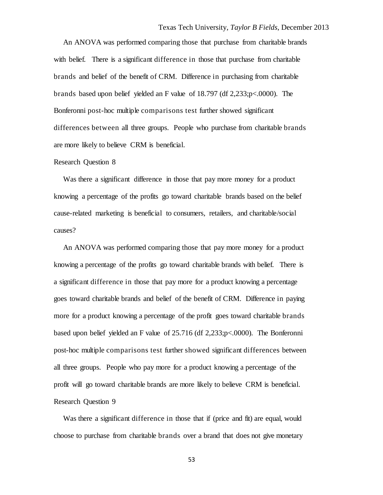An ANOVA was performed comparing those that purchase from charitable brands with belief. There is a significant difference in those that purchase from charitable brands and belief of the benefit of CRM. Difference in purchasing from charitable brands based upon belief yielded an F value of 18.797 (df 2,233;p<.0000). The Bonferonni post-hoc multiple comparisons test further showed significant differences between all three groups. People who purchase from charitable brands are more likely to believe CRM is beneficial.

#### Research Question 8

Was there a significant difference in those that pay more money for a product knowing a percentage of the profits go toward charitable brands based on the belief cause-related marketing is beneficial to consumers, retailers, and charitable/social causes?

 An ANOVA was performed comparing those that pay more money for a product knowing a percentage of the profits go toward charitable brands with belief. There is a significant difference in those that pay more for a product knowing a percentage goes toward charitable brands and belief of the benefit of CRM. Difference in paying more for a product knowing a percentage of the profit goes toward charitable brands based upon belief yielded an F value of 25.716 (df 2,233;p<.0000). The Bonferonni post-hoc multiple comparisons test further showed significant differences between all three groups. People who pay more for a product knowing a percentage of the profit will go toward charitable brands are more likely to believe CRM is beneficial. Research Question 9

 Was there a significant difference in those that if (price and fit) are equal, would choose to purchase from charitable brands over a brand that does not give monetary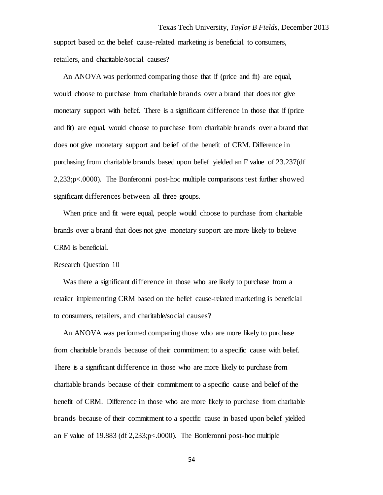An ANOVA was performed comparing those that if (price and fit) are equal, would choose to purchase from charitable brands over a brand that does not give monetary support with belief. There is a significant difference in those that if (price and fit) are equal, would choose to purchase from charitable brands over a brand that does not give monetary support and belief of the benefit of CRM. Difference in purchasing from charitable brands based upon belief yielded an F value of 23.237(df 2,233;p<.0000). The Bonferonni post-hoc multiple comparisons test further showed significant differences between all three groups.

When price and fit were equal, people would choose to purchase from charitable brands over a brand that does not give monetary support are more likely to believe CRM is beneficial.

#### Research Question 10

 Was there a significant difference in those who are likely to purchase from a retailer implementing CRM based on the belief cause-related marketing is beneficial to consumers, retailers, and charitable/social causes?

 An ANOVA was performed comparing those who are more likely to purchase from charitable brands because of their commitment to a specific cause with belief. There is a significant difference in those who are more likely to purchase from charitable brands because of their commitment to a specific cause and belief of the benefit of CRM. Difference in those who are more likely to purchase from charitable brands because of their commitment to a specific cause in based upon belief yielded an F value of 19.883 (df 2,233;p<.0000). The Bonferonni post-hoc multiple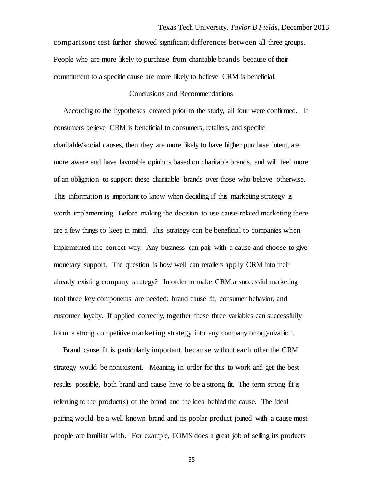comparisons test further showed significant differences between all three groups. People who are more likely to purchase from charitable brands because of their commitment to a specific cause are more likely to believe CRM is beneficial.

## Conclusions and Recommendations

 According to the hypotheses created prior to the study, all four were confirmed. If consumers believe CRM is beneficial to consumers, retailers, and specific charitable/social causes, then they are more likely to have higher purchase intent, are more aware and have favorable opinions based on charitable brands, and will feel more of an obligation to support these charitable brands over those who believe otherwise. This information is important to know when deciding if this marketing strategy is worth implementing. Before making the decision to use cause-related marketing there are a few things to keep in mind. This strategy can be beneficial to companies when implemented the correct way. Any business can pair with a cause and choose to give monetary support. The question is how well can retailers apply CRM into their already existing company strategy? In order to make CRM a successful marketing tool three key components are needed: brand cause fit, consumer behavior, and customer loyalty. If applied correctly, together these three variables can successfully form a strong competitive marketing strategy into any company or organization.

 Brand cause fit is particularly important, because without each other the CRM strategy would be nonexistent. Meaning, in order for this to work and get the best results possible, both brand and cause have to be a strong fit. The term strong fit is referring to the product(s) of the brand and the idea behind the cause. The ideal pairing would be a well known brand and its poplar product joined with a cause most people are familiar with. For example, TOMS does a great job of selling its products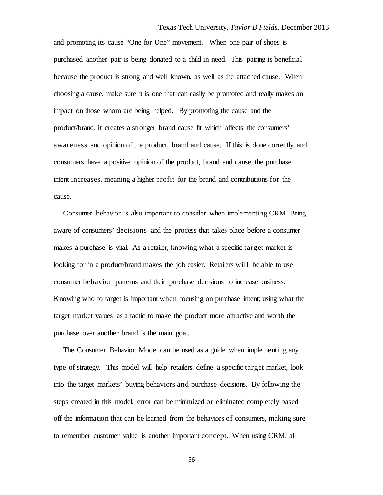and promoting its cause "One for One" movement. When one pair of shoes is purchased another pair is being donated to a child in need. This pairing is beneficial because the product is strong and well known, as well as the attached cause. When choosing a cause, make sure it is one that can easily be promoted and really makes an impact on those whom are being helped. By promoting the cause and the product/brand, it creates a stronger brand cause fit which affects the consumers' awareness and opinion of the product, brand and cause. If this is done correctly and consumers have a positive opinion of the product, brand and cause, the purchase intent increases, meaning a higher profit for the brand and contributions for the cause.

 Consumer behavior is also important to consider when implementing CRM. Being aware of consumers' decisions and the process that takes place before a consumer makes a purchase is vital. As a retailer, knowing what a specific target market is looking for in a product/brand makes the job easier. Retailers will be able to use consumer behavior patterns and their purchase decisions to increase business. Knowing who to target is important when focusing on purchase intent; using what the target market values as a tactic to make the product more attractive and worth the purchase over another brand is the main goal.

 The Consumer Behavior Model can be used as a guide when implementing any type of strategy. This model will help retailers define a specific target market, look into the target markets' buying behaviors and purchase decisions. By following the steps created in this model, error can be minimized or eliminated completely based off the information that can be learned from the behaviors of consumers, making sure to remember customer value is another important concept. When using CRM, all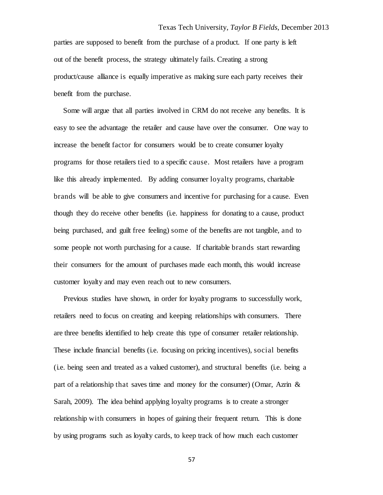parties are supposed to benefit from the purchase of a product. If one party is left out of the benefit process, the strategy ultimately fails. Creating a strong product/cause alliance is equally imperative as making sure each party receives their benefit from the purchase.

 Some will argue that all parties involved in CRM do not receive any benefits. It is easy to see the advantage the retailer and cause have over the consumer. One way to increase the benefit factor for consumers would be to create consumer loyalty programs for those retailers tied to a specific cause. Most retailers have a program like this already implemented. By adding consumer loyalty programs, charitable brands will be able to give consumers and incentive for purchasing for a cause. Even though they do receive other benefits (i.e. happiness for donating to a cause, product being purchased, and guilt free feeling) some of the benefits are not tangible, and to some people not worth purchasing for a cause. If charitable brands start rewarding their consumers for the amount of purchases made each month, this would increase customer loyalty and may even reach out to new consumers.

 Previous studies have shown, in order for loyalty programs to successfully work, retailers need to focus on creating and keeping relationships with consumers. There are three benefits identified to help create this type of consumer retailer relationship. These include financial benefits (i.e. focusing on pricing incentives), social benefits (i.e. being seen and treated as a valued customer), and structural benefits (i.e. being a part of a relationship that saves time and money for the consumer) (Omar, Azrin & Sarah, 2009). The idea behind applying loyalty programs is to create a stronger relationship with consumers in hopes of gaining their frequent return. This is done by using programs such as loyalty cards, to keep track of how much each customer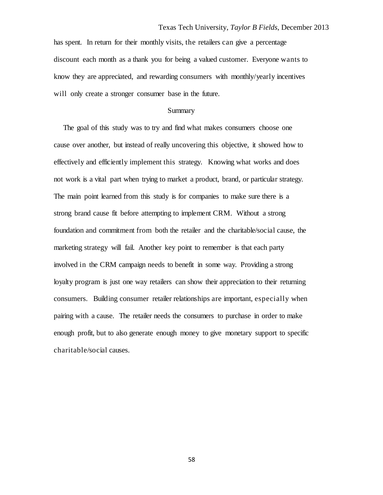has spent. In return for their monthly visits, the retailers can give a percentage discount each month as a thank you for being a valued customer. Everyone wants to know they are appreciated, and rewarding consumers with monthly/yearly incentives will only create a stronger consumer base in the future.

#### Summary

 The goal of this study was to try and find what makes consumers choose one cause over another, but instead of really uncovering this objective, it showed how to effectively and efficiently implement this strategy. Knowing what works and does not work is a vital part when trying to market a product, brand, or particular strategy. The main point learned from this study is for companies to make sure there is a strong brand cause fit before attempting to implement CRM. Without a strong foundation and commitment from both the retailer and the charitable/social cause, the marketing strategy will fail. Another key point to remember is that each party involved in the CRM campaign needs to benefit in some way. Providing a strong loyalty program is just one way retailers can show their appreciation to their returning consumers. Building consumer retailer relationships are important, especially when pairing with a cause. The retailer needs the consumers to purchase in order to make enough profit, but to also generate enough money to give monetary support to specific charitable/social causes.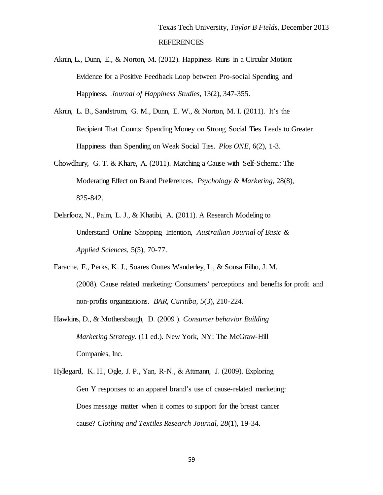- Aknin, L., Dunn, E., & Norton, M. (2012). Happiness Runs in a Circular Motion: Evidence for a Positive Feedback Loop between Pro-social Spending and Happiness. *Journal of Happiness Studies*, 13(2), 347-355.
- Aknin, L. B., Sandstrom, G. M., Dunn, E. W., & Norton, M. I. (2011). It's the Recipient That Counts: Spending Money on Strong Social Ties Leads to Greater Happiness than Spending on Weak Social Ties. *Plos ONE*, 6(2), 1-3.
- Chowdhury, G. T. & Khare, A. (2011). Matching a Cause with Self-Schema: The Moderating Effect on Brand Preferences. *Psychology & Marketing*, 28(8), 825-842.
- Delarfooz, N., Paim, L. J., & Khatibi, A. (2011). A Research Modeling to Understand Online Shopping Intention, *Austrailian Journal of Basic & Applied Sciences*, 5(5), 70-77.
- Farache, F., Perks, K. J., Soares Outtes Wanderley, L., & Sousa Filho, J. M. (2008). Cause related marketing: Consumers' perceptions and benefits for profit and non-profits organizations. *BAR, Curitiba*, *5*(3), 210-224.
- Hawkins, D., & Mothersbaugh, D. (2009 ). *Consumer behavior Building Marketing Strategy*. (11 ed.). New York, NY: The McGraw-Hill Companies, Inc.
- Hyllegard, K. H., Ogle, J. P., Yan, R-N., & Attmann, J. (2009). Exploring Gen Y responses to an apparel brand's use of cause-related marketing: Does message matter when it comes to support for the breast cancer cause? *Clothing and Textiles Research Journal, 28*(1), 19-34.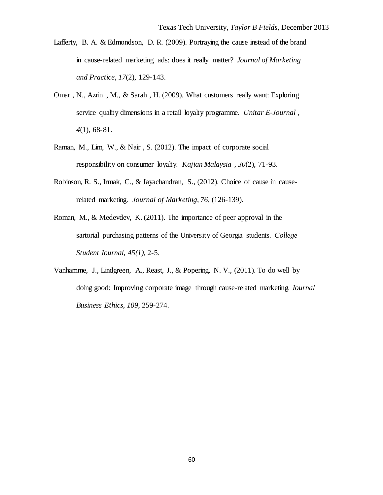- Lafferty, B. A. & Edmondson, D. R. (2009). Portraying the cause instead of the brand in cause-related marketing ads: does it really matter? *Journal of Marketing and Practice*, *17*(2), 129-143.
- Omar , N., Azrin , M., & Sarah , H. (2009). What customers really want: Exploring service quality dimensions in a retail loyalty programme. *Unitar E-Journal* , *4*(1), 68-81.
- Raman, M., Lim, W., & Nair , S. (2012). The impact of corporate social responsibility on consumer loyalty. *Kajian Malaysia* , *30*(2), 71-93.
- Robinson, R. S., Irmak, C., & Jayachandran, S., (2012). Choice of cause in causerelated marketing. *Journal of Marketing*, *76*, (126-139).
- Roman, M., & Medevdev, K. (2011). The importance of peer approval in the sartorial purchasing patterns of the University of Georgia students. *College Student Journal, 45(1),* 2-5.
- Vanhamme, J., Lindgreen, A., Reast, J., & Popering, N. V., (2011). To do well by doing good: Improving corporate image through cause-related marketing. *Journal Business Ethics*, *109*, 259-274.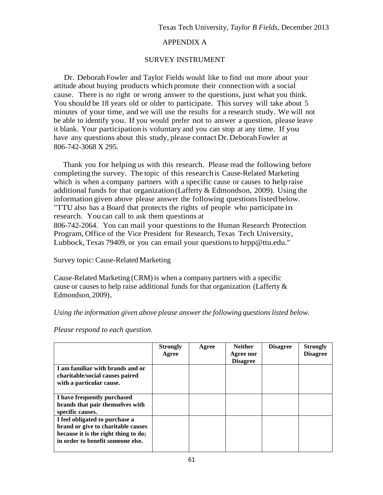## APPENDIX A

## SURVEY INSTRUMENT

 Dr. Deborah Fowler and Taylor Fields would like to find out more about your attitude about buying products which promote their connection with a social cause. There is no right or wrong answer to the questions, just what you think. You should be 18 years old or older to participate. This survey will take about 5 minutes of your time, and we will use the results for a research study. We will not be able to identify you. If you would prefer not to answer a question, please leave it blank. Your participation is voluntary and you can stop at any time. If you have any questions about this study, please contact Dr. Deborah Fowler at 806-742-3068 X 295.

 Thank you for helping us with this research. Please read the following before completing the survey. The topic of this researchis Cause-Related Marketing which is when a company partners with a specific cause or causes to help raise additional funds for that organization (Lafferty & Edmondson, 2009). Using the information given above please answer the following questions listed below. "TTU also has a Board that protects the rights of people who participate in research. You can call to ask them questions at

806-742-2064. You can mail your questions to the Human Research Protection Program, Office of the Vice President for Research, Texas Tech University, Lubbock, Texas 79409, or you can email your questionsto [hrpp@ttu.edu."](mailto:hrpp@ttu.edu.%22)

Survey topic: Cause-Related Marketing

Cause-Related Marketing (CRM)is when a company partners with a specific cause or causes to help raise additional funds for that organization (Lafferty & Edmondson, 2009).

*Using the information given above please answer the following questionslisted below.*

*Please respond to each question.*

|                                      | <b>Strongly</b><br>Agree | Agree | <b>Neither</b><br>Agree nor<br><b>Disagree</b> | <b>Disagree</b> | <b>Strongly</b><br><b>Disagree</b> |
|--------------------------------------|--------------------------|-------|------------------------------------------------|-----------------|------------------------------------|
| I am familiar with brands and or     |                          |       |                                                |                 |                                    |
| charitable/social causes paired      |                          |       |                                                |                 |                                    |
| with a particular cause.             |                          |       |                                                |                 |                                    |
|                                      |                          |       |                                                |                 |                                    |
| I have frequently purchased          |                          |       |                                                |                 |                                    |
| brands that pair themselves with     |                          |       |                                                |                 |                                    |
| specific causes.                     |                          |       |                                                |                 |                                    |
| I feel obligated to purchase a       |                          |       |                                                |                 |                                    |
| brand or give to charitable causes   |                          |       |                                                |                 |                                    |
| because it is the right thing to do; |                          |       |                                                |                 |                                    |
| in order to benefit someone else.    |                          |       |                                                |                 |                                    |
|                                      |                          |       |                                                |                 |                                    |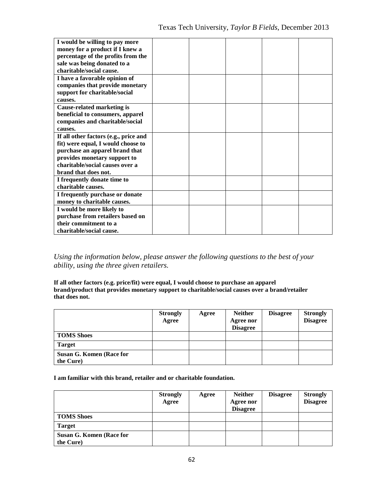| I would be willing to pay more        |  |  |  |
|---------------------------------------|--|--|--|
| money for a product if I knew a       |  |  |  |
| percentage of the profits from the    |  |  |  |
| sale was being donated to a           |  |  |  |
| charitable/social cause.              |  |  |  |
| I have a favorable opinion of         |  |  |  |
| companies that provide monetary       |  |  |  |
| support for charitable/social         |  |  |  |
| causes.                               |  |  |  |
| <b>Cause-related marketing is</b>     |  |  |  |
| beneficial to consumers, apparel      |  |  |  |
| companies and charitable/social       |  |  |  |
| causes.                               |  |  |  |
| If all other factors (e.g., price and |  |  |  |
| fit) were equal, I would choose to    |  |  |  |
| purchase an apparel brand that        |  |  |  |
| provides monetary support to          |  |  |  |
| charitable/social causes over a       |  |  |  |
| brand that does not.                  |  |  |  |
| I frequently donate time to           |  |  |  |
| charitable causes.                    |  |  |  |
| I frequently purchase or donate       |  |  |  |
| money to charitable causes.           |  |  |  |
| I would be more likely to             |  |  |  |
| purchase from retailers based on      |  |  |  |
| their commitment to a                 |  |  |  |
| charitable/social cause.              |  |  |  |

*Using the information below, please answer the following questions to the best of your ability, using the three given retailers.*

**If all other factors (e.g. price/fit) were equal, I would choose to purchase an apparel brand/product that provides monetary support to charitable/social causes over a brand/retailer that does not.**

|                                       | <b>Strongly</b> | Agree | <b>Neither</b>               | <b>Disagree</b> | <b>Strongly</b> |
|---------------------------------------|-----------------|-------|------------------------------|-----------------|-----------------|
|                                       | Agree           |       | Agree nor<br><b>Disagree</b> |                 | <b>Disagree</b> |
| <b>TOMS Shoes</b>                     |                 |       |                              |                 |                 |
| <b>Target</b>                         |                 |       |                              |                 |                 |
| Susan G. Komen (Race for<br>the Cure) |                 |       |                              |                 |                 |

**I am familiar with this brand, retailer and or charitable foundation.**

|                                       | <b>Strongly</b><br>Agree | Agree | <b>Neither</b><br>Agree nor<br><b>Disagree</b> | <b>Disagree</b> | <b>Strongly</b><br><b>Disagree</b> |
|---------------------------------------|--------------------------|-------|------------------------------------------------|-----------------|------------------------------------|
| <b>TOMS Shoes</b>                     |                          |       |                                                |                 |                                    |
| <b>Target</b>                         |                          |       |                                                |                 |                                    |
| Susan G. Komen (Race for<br>the Cure) |                          |       |                                                |                 |                                    |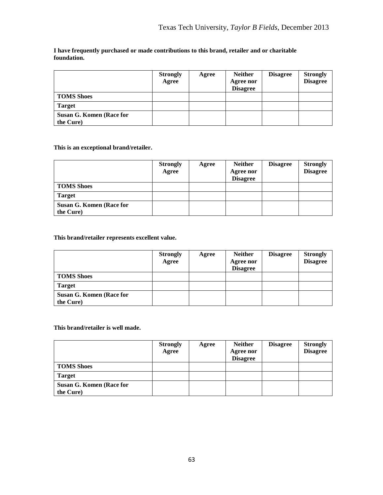| I have frequently purchased or made contributions to this brand, retailer and or charitable |  |  |  |  |  |  |  |  |
|---------------------------------------------------------------------------------------------|--|--|--|--|--|--|--|--|
| foundation.                                                                                 |  |  |  |  |  |  |  |  |
|                                                                                             |  |  |  |  |  |  |  |  |
|                                                                                             |  |  |  |  |  |  |  |  |

|                          | <b>Strongly</b><br>Agree | Agree | <b>Neither</b><br>Agree nor | <b>Disagree</b> | <b>Strongly</b><br><b>Disagree</b> |
|--------------------------|--------------------------|-------|-----------------------------|-----------------|------------------------------------|
|                          |                          |       | <b>Disagree</b>             |                 |                                    |
| <b>TOMS Shoes</b>        |                          |       |                             |                 |                                    |
| <b>Target</b>            |                          |       |                             |                 |                                    |
| Susan G. Komen (Race for |                          |       |                             |                 |                                    |
| the Cure)                |                          |       |                             |                 |                                    |

### **This is an exceptional brand/retailer.**

|                          | <b>Strongly</b> | Agree | <b>Neither</b>  | <b>Disagree</b> | <b>Strongly</b> |
|--------------------------|-----------------|-------|-----------------|-----------------|-----------------|
|                          | Agree           |       | Agree nor       |                 | <b>Disagree</b> |
|                          |                 |       | <b>Disagree</b> |                 |                 |
| <b>TOMS Shoes</b>        |                 |       |                 |                 |                 |
| <b>Target</b>            |                 |       |                 |                 |                 |
| Susan G. Komen (Race for |                 |       |                 |                 |                 |
| the Cure)                |                 |       |                 |                 |                 |

#### **This brand/retailer represents excellent value.**

|                          | <b>Strongly</b> | Agree | <b>Neither</b>  | <b>Disagree</b> | <b>Strongly</b> |
|--------------------------|-----------------|-------|-----------------|-----------------|-----------------|
|                          | Agree           |       | Agree nor       |                 | <b>Disagree</b> |
|                          |                 |       | <b>Disagree</b> |                 |                 |
| <b>TOMS Shoes</b>        |                 |       |                 |                 |                 |
| <b>Target</b>            |                 |       |                 |                 |                 |
| Susan G. Komen (Race for |                 |       |                 |                 |                 |
| the Cure)                |                 |       |                 |                 |                 |

#### **This brand/retailer is well made.**

|                          | <b>Strongly</b> | Agree | <b>Neither</b>  | <b>Disagree</b> | <b>Strongly</b> |
|--------------------------|-----------------|-------|-----------------|-----------------|-----------------|
|                          | Agree           |       | Agree nor       |                 | <b>Disagree</b> |
|                          |                 |       | <b>Disagree</b> |                 |                 |
| <b>TOMS Shoes</b>        |                 |       |                 |                 |                 |
| <b>Target</b>            |                 |       |                 |                 |                 |
| Susan G. Komen (Race for |                 |       |                 |                 |                 |
| the Cure)                |                 |       |                 |                 |                 |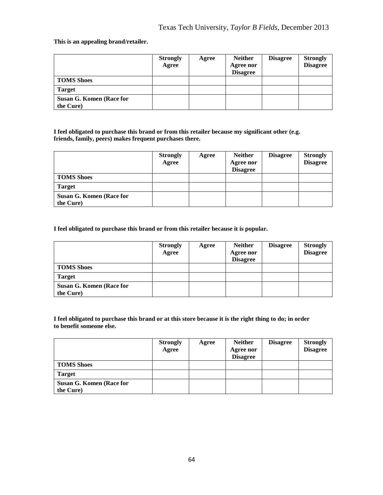#### **This is an appealing brand/retailer.**

|                                       | <b>Strongly</b><br>Agree | Agree | <b>Neither</b><br>Agree nor<br><b>Disagree</b> | <b>Disagree</b> | <b>Strongly</b><br><b>Disagree</b> |
|---------------------------------------|--------------------------|-------|------------------------------------------------|-----------------|------------------------------------|
| <b>TOMS Shoes</b>                     |                          |       |                                                |                 |                                    |
| <b>Target</b>                         |                          |       |                                                |                 |                                    |
| Susan G. Komen (Race for<br>the Cure) |                          |       |                                                |                 |                                    |

**I feel obligated to purchase this brand or from this retailer because my significant other (e.g. friends, family, peers) makes frequent purchases there.**

|                                       | <b>Strongly</b><br>Agree | Agree | <b>Neither</b><br>Agree nor<br><b>Disagree</b> | <b>Disagree</b> | <b>Strongly</b><br><b>Disagree</b> |
|---------------------------------------|--------------------------|-------|------------------------------------------------|-----------------|------------------------------------|
| <b>TOMS Shoes</b>                     |                          |       |                                                |                 |                                    |
| <b>Target</b>                         |                          |       |                                                |                 |                                    |
| Susan G. Komen (Race for<br>the Cure) |                          |       |                                                |                 |                                    |

**I feel obligated to purchase this brand or from this retailer because it is popular.**

|                          | <b>Strongly</b> | Agree | <b>Neither</b>  | <b>Disagree</b> | <b>Strongly</b> |
|--------------------------|-----------------|-------|-----------------|-----------------|-----------------|
|                          | Agree           |       | Agree nor       |                 | <b>Disagree</b> |
|                          |                 |       | <b>Disagree</b> |                 |                 |
| <b>TOMS Shoes</b>        |                 |       |                 |                 |                 |
| <b>Target</b>            |                 |       |                 |                 |                 |
| Susan G. Komen (Race for |                 |       |                 |                 |                 |
| the Cure)                |                 |       |                 |                 |                 |

**I feel obligated to purchase this brand or at this store because it is the right thing to do; in order to benefit someone else.**

|                                       | <b>Strongly</b><br>Agree | Agree | <b>Neither</b><br>Agree nor<br><b>Disagree</b> | <b>Disagree</b> | <b>Strongly</b><br><b>Disagree</b> |
|---------------------------------------|--------------------------|-------|------------------------------------------------|-----------------|------------------------------------|
| <b>TOMS Shoes</b>                     |                          |       |                                                |                 |                                    |
| <b>Target</b>                         |                          |       |                                                |                 |                                    |
| Susan G. Komen (Race for<br>the Cure) |                          |       |                                                |                 |                                    |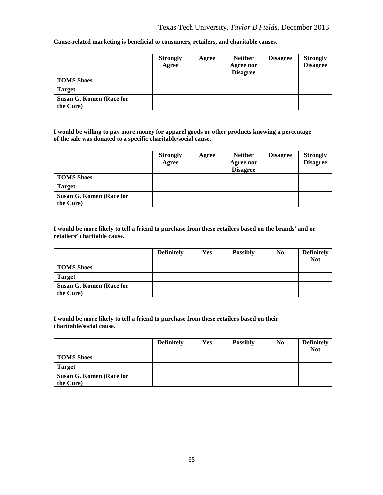| Cause-related marketing is beneficial to consumers, retailers, and charitable causes. |  |  |
|---------------------------------------------------------------------------------------|--|--|

|                                       | <b>Strongly</b><br>Agree | Agree | <b>Neither</b><br>Agree nor<br><b>Disagree</b> | <b>Disagree</b> | <b>Strongly</b><br><b>Disagree</b> |
|---------------------------------------|--------------------------|-------|------------------------------------------------|-----------------|------------------------------------|
| <b>TOMS Shoes</b>                     |                          |       |                                                |                 |                                    |
| <b>Target</b>                         |                          |       |                                                |                 |                                    |
| Susan G. Komen (Race for<br>the Cure) |                          |       |                                                |                 |                                    |

**I would be willing to pay more money for apparel goods or other products knowing a percentage of the sale was donated to a specific charitable/social cause.**

|                                       | <b>Strongly</b><br>Agree | Agree | <b>Neither</b><br>Agree nor<br><b>Disagree</b> | <b>Disagree</b> | <b>Strongly</b><br><b>Disagree</b> |
|---------------------------------------|--------------------------|-------|------------------------------------------------|-----------------|------------------------------------|
| <b>TOMS Shoes</b>                     |                          |       |                                                |                 |                                    |
| <b>Target</b>                         |                          |       |                                                |                 |                                    |
| Susan G. Komen (Race for<br>the Cure) |                          |       |                                                |                 |                                    |

**I would be more likely to tell a friend to purchase from these retailers based on the brands' and or retailers' charitable cause.**

|                          | <b>Definitely</b> | <b>Yes</b> | <b>Possibly</b> | N <sub>0</sub> | <b>Definitely</b> |
|--------------------------|-------------------|------------|-----------------|----------------|-------------------|
|                          |                   |            |                 |                | <b>Not</b>        |
| <b>TOMS Shoes</b>        |                   |            |                 |                |                   |
| <b>Target</b>            |                   |            |                 |                |                   |
| Susan G. Komen (Race for |                   |            |                 |                |                   |
| the Cure)                |                   |            |                 |                |                   |

**I would be more likely to tell a friend to purchase from these retailers based on their charitable/social cause.**

|                          | <b>Definitely</b> | Yes | <b>Possibly</b> | N <sub>0</sub> | <b>Definitely</b> |
|--------------------------|-------------------|-----|-----------------|----------------|-------------------|
|                          |                   |     |                 |                | <b>Not</b>        |
| <b>TOMS Shoes</b>        |                   |     |                 |                |                   |
| <b>Target</b>            |                   |     |                 |                |                   |
| Susan G. Komen (Race for |                   |     |                 |                |                   |
| the Cure)                |                   |     |                 |                |                   |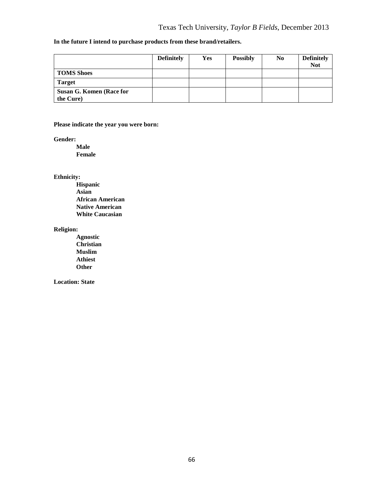#### **In the future I intend to purchase products from these brand/retailers.**

|                                       | <b>Definitely</b> | <b>Yes</b> | <b>Possibly</b> | N <sub>0</sub> | <b>Definitely</b><br><b>Not</b> |
|---------------------------------------|-------------------|------------|-----------------|----------------|---------------------------------|
| <b>TOMS Shoes</b>                     |                   |            |                 |                |                                 |
| <b>Target</b>                         |                   |            |                 |                |                                 |
| Susan G. Komen (Race for<br>the Cure) |                   |            |                 |                |                                 |

#### **Please indicate the year you were born:**

**Gender:**

**Male Female**

## **Ethnicity:**

**Hispanic Asian African American Native American White Caucasian**

#### **Religion:**

**Agnostic Christian Muslim Athiest Other**

**Location: State**